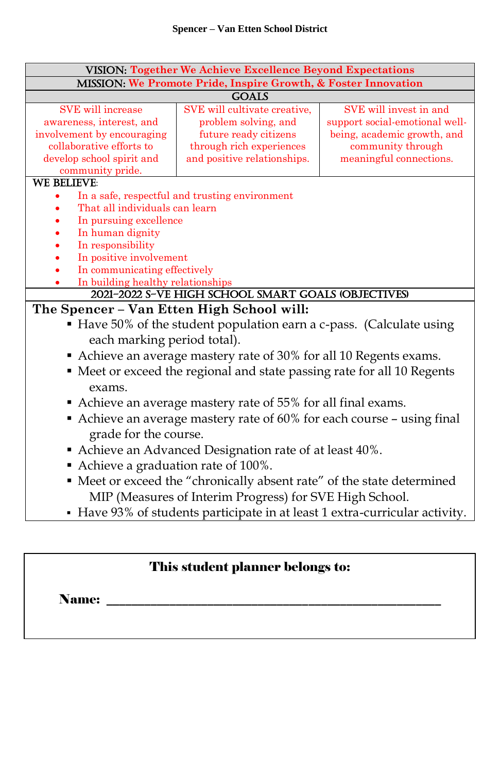| <b>VISION: Together We Achieve Excellence Beyond Expectations</b>                             |                                                     |                                |  |  |
|-----------------------------------------------------------------------------------------------|-----------------------------------------------------|--------------------------------|--|--|
| MISSION: We Promote Pride, Inspire Growth, & Foster Innovation                                |                                                     |                                |  |  |
| <b>GOALS</b>                                                                                  |                                                     |                                |  |  |
| SVE will increase                                                                             | SVE will cultivate creative.                        | SVE will invest in and         |  |  |
| awareness, interest, and                                                                      | problem solving, and                                | support social-emotional well- |  |  |
| involvement by encouraging                                                                    | future ready citizens                               | being, academic growth, and    |  |  |
| collaborative efforts to                                                                      | through rich experiences                            | community through              |  |  |
| develop school spirit and                                                                     | and positive relationships.                         | meaningful connections.        |  |  |
| community pride.<br><b>WE BELIEVE:</b>                                                        |                                                     |                                |  |  |
|                                                                                               | In a safe, respectful and trusting environment      |                                |  |  |
| That all individuals can learn                                                                |                                                     |                                |  |  |
| In pursuing excellence                                                                        |                                                     |                                |  |  |
| In human dignity                                                                              |                                                     |                                |  |  |
| In responsibility                                                                             |                                                     |                                |  |  |
| In positive involvement                                                                       |                                                     |                                |  |  |
| In communicating effectively                                                                  |                                                     |                                |  |  |
| In building healthy relationships                                                             |                                                     |                                |  |  |
|                                                                                               | 2021-2022 S-VE HIGH SCHOOL SMART GOALS (OBJECTIVES) |                                |  |  |
| The Spencer - Van Etten High School will:                                                     |                                                     |                                |  |  |
| • Have 50% of the student population earn a c-pass. (Calculate using                          |                                                     |                                |  |  |
| each marking period total).                                                                   |                                                     |                                |  |  |
| • Achieve an average mastery rate of 30% for all 10 Regents exams.                            |                                                     |                                |  |  |
| • Meet or exceed the regional and state passing rate for all 10 Regents                       |                                                     |                                |  |  |
| exams.                                                                                        |                                                     |                                |  |  |
| Achieve an average mastery rate of 55% for all final exams.                                   |                                                     |                                |  |  |
| Achieve an average mastery rate of 60% for each course - using final<br>grade for the course. |                                                     |                                |  |  |
| Achieve an Advanced Designation rate of at least 40%.                                         |                                                     |                                |  |  |
| Achieve a graduation rate of 100%.                                                            |                                                     |                                |  |  |
| • Meet or exceed the "chronically absent rate" of the state determined                        |                                                     |                                |  |  |
| MIP (Measures of Interim Progress) for SVE High School.                                       |                                                     |                                |  |  |
| • Have 93% of students participate in at least 1 extra-curricular activity.                   |                                                     |                                |  |  |

# This student planner belongs to:

Name: \_\_\_\_\_\_\_\_\_\_\_\_\_\_\_\_\_\_\_\_\_\_\_\_\_\_\_\_\_\_\_\_\_\_\_\_\_\_\_\_\_\_\_\_\_\_\_\_\_\_\_\_\_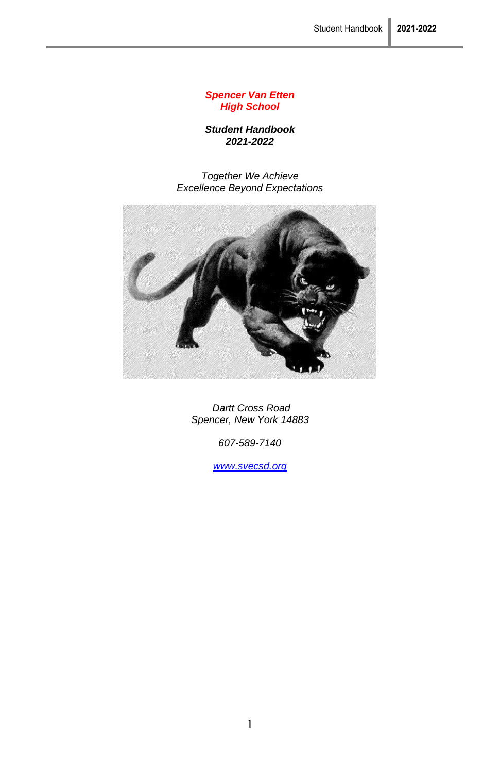#### *Spencer Van Etten High School*

*Student Handbook 2021-2022*

*Together We Achieve Excellence Beyond Expectations*



*Dartt Cross Road Spencer, New York 14883*

*607-589-7140*

*[www.svecsd.org](http://www.svecsd.org/)*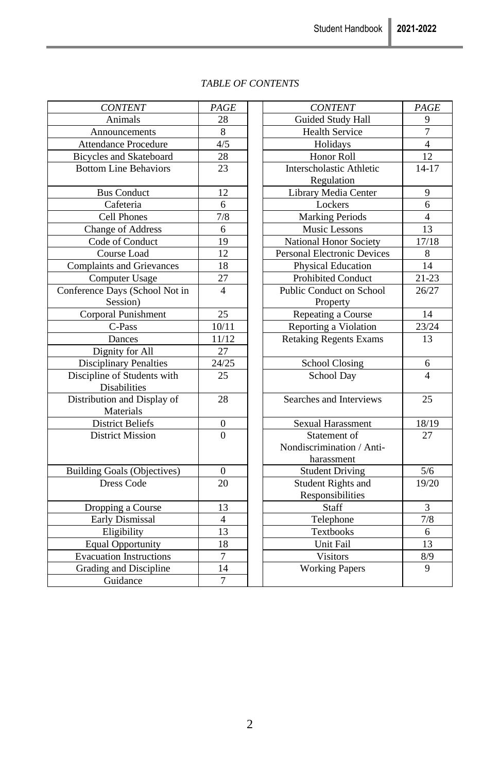| <b>CONTENT</b>                     | PAGE             | <b>CONTENT</b>                     | PAGE           |
|------------------------------------|------------------|------------------------------------|----------------|
| Animals                            | 28               | Guided Study Hall                  | 9              |
| Announcements                      | 8                | <b>Health Service</b>              | $\overline{7}$ |
| <b>Attendance Procedure</b>        | 4/5              | Holidays                           | $\overline{4}$ |
| <b>Bicycles and Skateboard</b>     | 28               | Honor Roll                         | 12             |
| <b>Bottom Line Behaviors</b>       | 23               | Interscholastic Athletic           | $14 - 17$      |
|                                    |                  | Regulation                         |                |
| <b>Bus Conduct</b>                 | 12               | Library Media Center               | 9              |
| Cafeteria                          | 6                | Lockers                            | 6              |
| Cell Phones                        | 7/8              | <b>Marking Periods</b>             | $\overline{4}$ |
| Change of Address                  | 6                | <b>Music Lessons</b>               | 13             |
| Code of Conduct                    | 19               | National Honor Society             | 17/18          |
| Course Load                        | 12               | <b>Personal Electronic Devices</b> | 8              |
| <b>Complaints and Grievances</b>   | 18               | Physical Education                 | 14             |
| Computer Usage                     | 27               | Prohibited Conduct                 | $21 - 23$      |
| Conference Days (School Not in     | $\overline{4}$   | Public Conduct on School           | 26/27          |
| Session)                           |                  | Property                           |                |
| Corporal Punishment                | 25               | Repeating a Course                 | 14             |
| C-Pass                             | 10/11            | Reporting a Violation              | 23/24          |
| Dances                             | 11/12            | <b>Retaking Regents Exams</b>      | 13             |
| Dignity for All                    | 27               |                                    |                |
| <b>Disciplinary Penalties</b>      | 24/25            | <b>School Closing</b>              | 6              |
| Discipline of Students with        | 25               | School Day                         | $\overline{4}$ |
| Disabilities                       |                  |                                    |                |
| Distribution and Display of        | 28               | Searches and Interviews            | 25             |
| Materials                          |                  |                                    |                |
| <b>District Beliefs</b>            | $\boldsymbol{0}$ | Sexual Harassment                  | 18/19          |
| <b>District Mission</b>            | $\theta$         | Statement of                       | 27             |
|                                    |                  | Nondiscrimination / Anti-          |                |
|                                    |                  | harassment                         |                |
| <b>Building Goals (Objectives)</b> | $\Omega$         | <b>Student Driving</b>             | 5/6            |
| Dress Code                         | 20               | Student Rights and                 | 19/20          |
|                                    |                  | Responsibilities                   |                |
| Dropping a Course                  | 13               | Staff                              | 3              |
| Early Dismissal                    | $\overline{4}$   | Telephone                          | 7/8            |
| Eligibility                        | 13               | Textbooks                          | 6              |
| <b>Equal Opportunity</b>           | 18               | Unit Fail                          | 13             |
| <b>Evacuation Instructions</b>     | $\overline{7}$   | <b>Visitors</b>                    | 8/9            |
| Grading and Discipline             | 14               | <b>Working Papers</b>              | 9              |
| Guidance                           | $\overline{7}$   |                                    |                |
|                                    |                  |                                    |                |

### *TABLE OF CONTENTS*

| <b>CONTENT</b>        | PAGE             | <b>CONTENT</b>                     | PAGE                     |
|-----------------------|------------------|------------------------------------|--------------------------|
| Animals               | 28               | Guided Study Hall                  | 9                        |
| nouncements           | 8                | <b>Health Service</b>              | 7                        |
| dance Procedure       | 4/5              | Holidays                           | $\overline{\mathcal{L}}$ |
| es and Skateboard     | 28               | Honor Roll                         | 12                       |
| n Line Behaviors      | 23               | Interscholastic Athletic           | $14 - 17$                |
|                       |                  | Regulation                         |                          |
| Bus Conduct           | 12               | Library Media Center               | 9                        |
| Cafeteria             | 6                | Lockers                            | 6                        |
| Cell Phones           | 7/8              | <b>Marking Periods</b>             | $\overline{4}$           |
| nge of Address        | 6                | Music Lessons                      | 13                       |
| de of Conduct         | 19               | National Honor Society             | 17/18                    |
| Course Load           | 12               | <b>Personal Electronic Devices</b> | 8                        |
| ints and Grievances   | 18               | Physical Education                 | 14                       |
| mputer Usage          | 27               | Prohibited Conduct                 | $21 - 23$                |
| e Days (School Not in | $\overline{4}$   | Public Conduct on School           | 26/27                    |
| Session)              |                  | Property                           |                          |
| oral Punishment       | 25               | Repeating a Course                 | 14                       |
| C-Pass                | 10/11            | Reporting a Violation              | 23/24                    |
| Dances                | 11/12            | <b>Retaking Regents Exams</b>      | 13                       |
| ignity for All        | 27               |                                    |                          |
| plinary Penalties     | 24/25            | <b>School Closing</b>              | 6                        |
| ne of Students with   | 25               | School Day                         | $\Delta$                 |
| Disabilities          |                  |                                    |                          |
| tion and Display of   | 28               | Searches and Interviews            | $25\,$                   |
| Materials             |                  |                                    |                          |
| istrict Beliefs       | $\boldsymbol{0}$ | Sexual Harassment                  | 18/19                    |
| strict Mission        | $\Omega$         | Statement of                       | 27                       |
|                       |                  | Nondiscrimination / Anti-          |                          |
|                       |                  | harassment                         |                          |
| Goals (Objectives)    | $\mathbf{0}$     | <b>Student Driving</b>             | 5/6                      |
| Dress Code            | 20               | <b>Student Rights and</b>          | 19/20                    |
|                       |                  | Responsibilities                   |                          |
| pping a Course        | 13               | Staff                              | 3                        |
| rly Dismissal         | $\overline{4}$   | Telephone                          | 7/8                      |
| Eligibility           | 13               | Textbooks                          | 6                        |
| al Opportunity        | 18               | Unit Fail                          | 13                       |
| ation Instructions    | $\overline{7}$   | <b>Visitors</b>                    | 8/9                      |
| ng and Discipline     | 14               | <b>Working Papers</b>              | $\mathbf{Q}$             |
| Guidance              | $\overline{7}$   |                                    |                          |
|                       |                  |                                    |                          |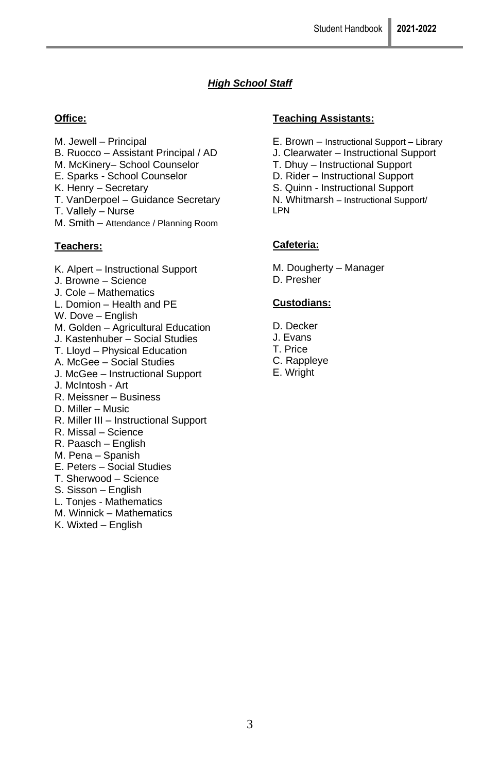# *High School Staff*

### **Office:**

- M. Jewell Principal
- B. Ruocco Assistant Principal / AD
- M. McKinery– School Counselor
- E. Sparks School Counselor
- K. Henry Secretary
- T. VanDerpoel Guidance Secretary
- T. Vallely Nurse
- M. Smith Attendance / Planning Room

### **Teachers:**

- K. Alpert Instructional Support
- J. Browne Science
- J. Cole Mathematics
- L. Domion Health and PE
- W. Dove English
- M. Golden Agricultural Education
- J. Kastenhuber Social Studies
- T. Lloyd Physical Education
- A. McGee Social Studies
- J. McGee Instructional Support
- J. McIntosh Art
- R. Meissner Business
- D. Miller Music
- R. Miller III Instructional Support
- R. Missal Science
- R. Paasch English
- M. Pena Spanish
- E. Peters Social Studies
- T. Sherwood Science
- S. Sisson English
- L. Tonjes Mathematics
- M. Winnick Mathematics
- K. Wixted English

#### **Teaching Assistants:**

- E. Brown Instructional Support Library
- J. Clearwater Instructional Support
- T. Dhuy Instructional Support
- D. Rider Instructional Support
- S. Quinn Instructional Support
- N. Whitmarsh Instructional Support/ LPN

### **Cafeteria:**

M. Dougherty – Manager

D. Presher

### **Custodians:**

- D. Decker
- J. Evans
- T. Price
- C. Rappleye
- E. Wright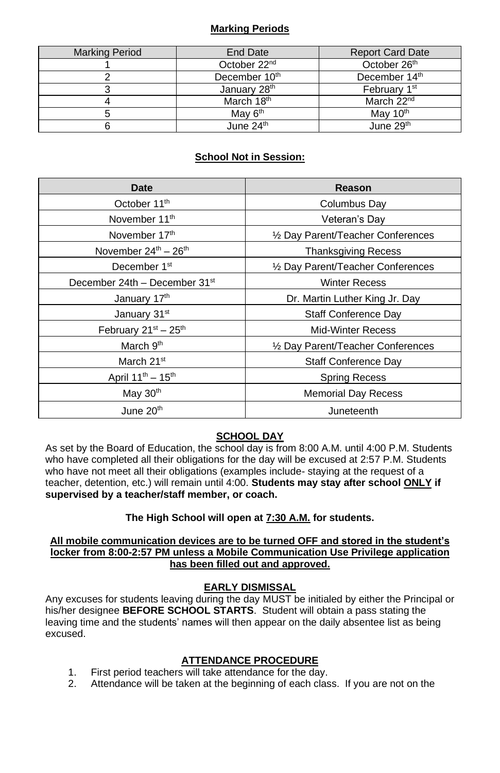### **Marking Periods**

| <b>Marking Period</b> | End Date                  | <b>Report Card Date</b>   |
|-----------------------|---------------------------|---------------------------|
|                       | October 22 <sup>nd</sup>  | October 26 <sup>th</sup>  |
|                       | December 10 <sup>th</sup> | December 14 <sup>th</sup> |
|                       | January 28 <sup>th</sup>  | February 1 <sup>st</sup>  |
|                       | March 18 <sup>th</sup>    | March 22 <sup>nd</sup>    |
|                       | May 6 <sup>th</sup>       | May 10 <sup>th</sup>      |
|                       | June $24th$               | June 29th                 |

## **School Not in Session:**

| Date                                      | Reason                             |
|-------------------------------------------|------------------------------------|
| October 11 <sup>th</sup>                  | Columbus Day                       |
| November 11 <sup>th</sup>                 | Veteran's Day                      |
| November 17 <sup>th</sup>                 | 1/2 Day Parent/Teacher Conferences |
| November $24^{th}$ – $26^{th}$            | <b>Thanksgiving Recess</b>         |
| December 1 <sup>st</sup>                  | 1/2 Day Parent/Teacher Conferences |
| December 24th - December 31st             | <b>Winter Recess</b>               |
| January 17th                              | Dr. Martin Luther King Jr. Day     |
| January 31 <sup>st</sup>                  | Staff Conference Day               |
| February $21^{st} - 25^{th}$              | <b>Mid-Winter Recess</b>           |
| March 9 <sup>th</sup>                     | 1/2 Day Parent/Teacher Conferences |
| March 21 <sup>st</sup>                    | Staff Conference Day               |
| April 11 <sup>th</sup> - 15 <sup>th</sup> | <b>Spring Recess</b>               |
| May $30th$                                | <b>Memorial Day Recess</b>         |
| June 20 <sup>th</sup>                     | Juneteenth                         |

### **SCHOOL DAY**

As set by the Board of Education, the school day is from 8:00 A.M. until 4:00 P.M. Students who have completed all their obligations for the day will be excused at 2:57 P.M. Students who have not meet all their obligations (examples include- staying at the request of a teacher, detention, etc.) will remain until 4:00. **Students may stay after school ONLY if supervised by a teacher/staff member, or coach.**

### **The High School will open at 7:30 A.M. for students.**

#### **All mobile communication devices are to be turned OFF and stored in the student's locker from 8:00-2:57 PM unless a Mobile Communication Use Privilege application has been filled out and approved.**

### **EARLY DISMISSAL**

Any excuses for students leaving during the day MUST be initialed by either the Principal or his/her designee **BEFORE SCHOOL STARTS**. Student will obtain a pass stating the leaving time and the students' names will then appear on the daily absentee list as being excused.

### **ATTENDANCE PROCEDURE**

- 1. First period teachers will take attendance for the day.
- 2. Attendance will be taken at the beginning of each class. If you are not on the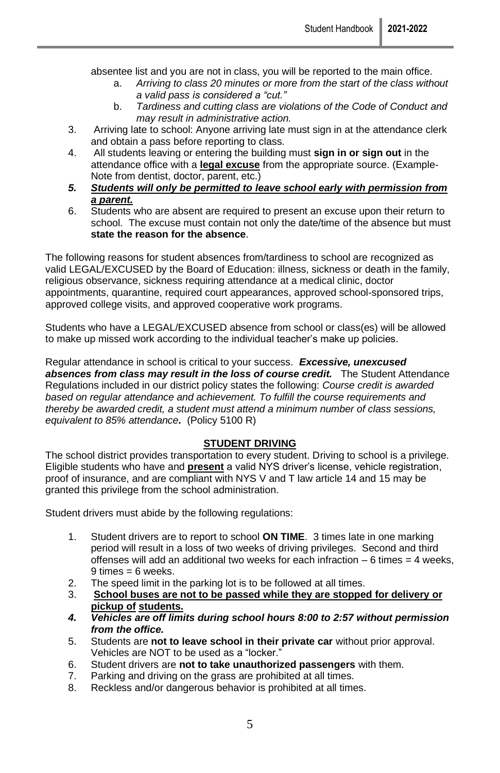absentee list and you are not in class, you will be reported to the main office.

- a. *Arriving to class 20 minutes or more from the start of the class without a valid pass is considered a "cut."*
- b. *Tardiness and cutting class are violations of the Code of Conduct and may result in administrative action.*
- 3. Arriving late to school: Anyone arriving late must sign in at the attendance clerk and obtain a pass before reporting to class.
- 4. All students leaving or entering the building must **sign in or sign out** in the attendance office with a **legal excuse** from the appropriate source. (Example-Note from dentist, doctor, parent, etc.)
- *5. Students will only be permitted to leave school early with permission from a parent.*
- 6. Students who are absent are required to present an excuse upon their return to school. The excuse must contain not only the date/time of the absence but must **state the reason for the absence**.

The following reasons for student absences from/tardiness to school are recognized as valid LEGAL/EXCUSED by the Board of Education: illness, sickness or death in the family, religious observance, sickness requiring attendance at a medical clinic, doctor appointments, quarantine, required court appearances, approved school-sponsored trips, approved college visits, and approved cooperative work programs.

Students who have a LEGAL/EXCUSED absence from school or class(es) will be allowed to make up missed work according to the individual teacher's make up policies.

Regular attendance in school is critical to your success. *Excessive, unexcused*  absences from class may result in the loss of course credit. The Student Attendance Regulations included in our district policy states the following: *Course credit is awarded based on regular attendance and achievement. To fulfill the course requirements and thereby be awarded credit, a student must attend a minimum number of class sessions, equivalent to 85% attendance.* (Policy 5100 R)

#### **STUDENT DRIVING**

The school district provides transportation to every student. Driving to school is a privilege. Eligible students who have and **present** a valid NYS driver's license, vehicle registration, proof of insurance, and are compliant with NYS V and T law article 14 and 15 may be granted this privilege from the school administration.

Student drivers must abide by the following regulations:

- 1. Student drivers are to report to school **ON TIME**. 3 times late in one marking period will result in a loss of two weeks of driving privileges. Second and third offenses will add an additional two weeks for each infraction  $-6$  times  $= 4$  weeks,  $9 \times = 6$  weeks.
- 2. The speed limit in the parking lot is to be followed at all times.<br>3. School buses are not to be passed while they are stopper
- 3. **School buses are not to be passed while they are stopped for delivery or pickup of students.**
- *4. Vehicles are off limits during school hours 8:00 to 2:57 without permission from the office.*
- 5. Students are **not to leave school in their private car** without prior approval. Vehicles are NOT to be used as a "locker."
- 6. Student drivers are **not to take unauthorized passengers** with them.
- 7. Parking and driving on the grass are prohibited at all times.
- 8. Reckless and/or dangerous behavior is prohibited at all times.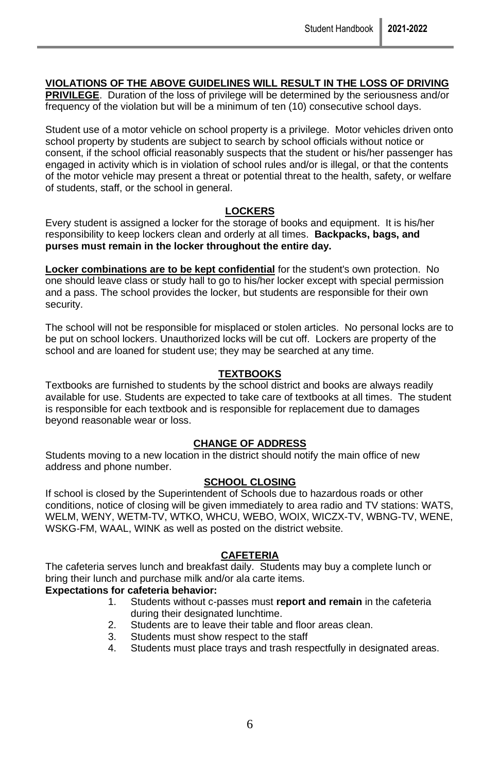#### **VIOLATIONS OF THE ABOVE GUIDELINES WILL RESULT IN THE LOSS OF DRIVING**

**PRIVILEGE**. Duration of the loss of privilege will be determined by the seriousness and/or frequency of the violation but will be a minimum of ten (10) consecutive school days.

Student use of a motor vehicle on school property is a privilege. Motor vehicles driven onto school property by students are subject to search by school officials without notice or consent, if the school official reasonably suspects that the student or his/her passenger has engaged in activity which is in violation of school rules and/or is illegal, or that the contents of the motor vehicle may present a threat or potential threat to the health, safety, or welfare of students, staff, or the school in general.

#### **LOCKERS**

Every student is assigned a locker for the storage of books and equipment. It is his/her responsibility to keep lockers clean and orderly at all times. **Backpacks, bags, and purses must remain in the locker throughout the entire day.** 

**Locker combinations are to be kept confidential** for the student's own protection. No one should leave class or study hall to go to his/her locker except with special permission and a pass. The school provides the locker, but students are responsible for their own security.

The school will not be responsible for misplaced or stolen articles. No personal locks are to be put on school lockers. Unauthorized locks will be cut off. Lockers are property of the school and are loaned for student use; they may be searched at any time.

#### **TEXTBOOKS**

Textbooks are furnished to students by the school district and books are always readily available for use. Students are expected to take care of textbooks at all times. The student is responsible for each textbook and is responsible for replacement due to damages beyond reasonable wear or loss.

#### **CHANGE OF ADDRESS**

Students moving to a new location in the district should notify the main office of new address and phone number.

#### **SCHOOL CLOSING**

If school is closed by the Superintendent of Schools due to hazardous roads or other conditions, notice of closing will be given immediately to area radio and TV stations: WATS, WELM, WENY, WETM-TV, WTKO, WHCU, WEBO, WOIX, WICZX-TV, WBNG-TV, WENE, WSKG-FM, WAAL, WINK as well as posted on the district website.

### **CAFETERIA**

The cafeteria serves lunch and breakfast daily. Students may buy a complete lunch or bring their lunch and purchase milk and/or ala carte items.

### **Expectations for cafeteria behavior:**

- 1. Students without c-passes must **report and remain** in the cafeteria during their designated lunchtime.
- 2. Students are to leave their table and floor areas clean.
- 3. Students must show respect to the staff
- 4. Students must place trays and trash respectfully in designated areas.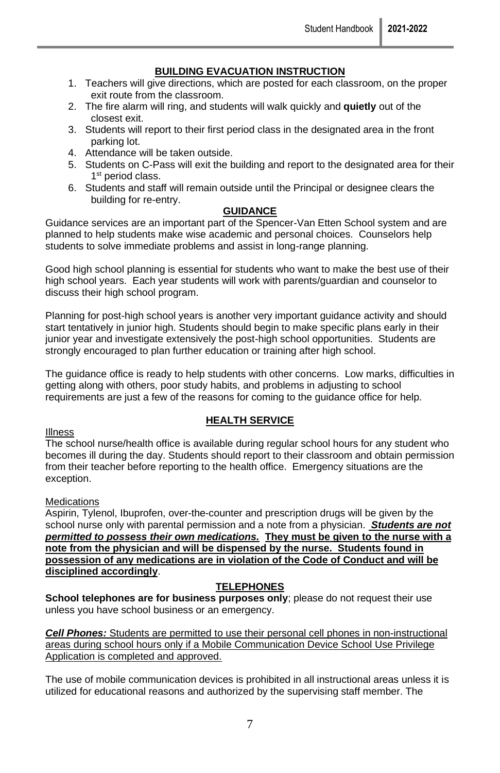### **BUILDING EVACUATION INSTRUCTION**

- 1. Teachers will give directions, which are posted for each classroom, on the proper exit route from the classroom.
- 2. The fire alarm will ring, and students will walk quickly and **quietly** out of the closest exit.
- 3. Students will report to their first period class in the designated area in the front parking lot.
- 4. Attendance will be taken outside.
- 5. Students on C-Pass will exit the building and report to the designated area for their 1<sup>st</sup> period class.
- 6. Students and staff will remain outside until the Principal or designee clears the building for re-entry.

#### **GUIDANCE**

Guidance services are an important part of the Spencer-Van Etten School system and are planned to help students make wise academic and personal choices. Counselors help students to solve immediate problems and assist in long-range planning.

Good high school planning is essential for students who want to make the best use of their high school years. Each year students will work with parents/guardian and counselor to discuss their high school program.

Planning for post-high school years is another very important guidance activity and should start tentatively in junior high. Students should begin to make specific plans early in their junior year and investigate extensively the post-high school opportunities. Students are strongly encouraged to plan further education or training after high school.

The guidance office is ready to help students with other concerns. Low marks, difficulties in getting along with others, poor study habits, and problems in adjusting to school requirements are just a few of the reasons for coming to the guidance office for help.

### **HEALTH SERVICE**

#### Illness

The school nurse/health office is available during regular school hours for any student who becomes ill during the day. Students should report to their classroom and obtain permission from their teacher before reporting to the health office. Emergency situations are the exception.

#### **Medications**

Aspirin, Tylenol, Ibuprofen, over-the-counter and prescription drugs will be given by the school nurse only with parental permission and a note from a physician. *Students are not permitted to possess their own medications.* **They must be given to the nurse with a note from the physician and will be dispensed by the nurse. Students found in possession of any medications are in violation of the Code of Conduct and will be disciplined accordingly**.

### **TELEPHONES**

**School telephones are for business purposes only**; please do not request their use unless you have school business or an emergency.

*Cell Phones:* Students are permitted to use their personal cell phones in non-instructional areas during school hours only if a Mobile Communication Device School Use Privilege Application is completed and approved.

The use of mobile communication devices is prohibited in all instructional areas unless it is utilized for educational reasons and authorized by the supervising staff member. The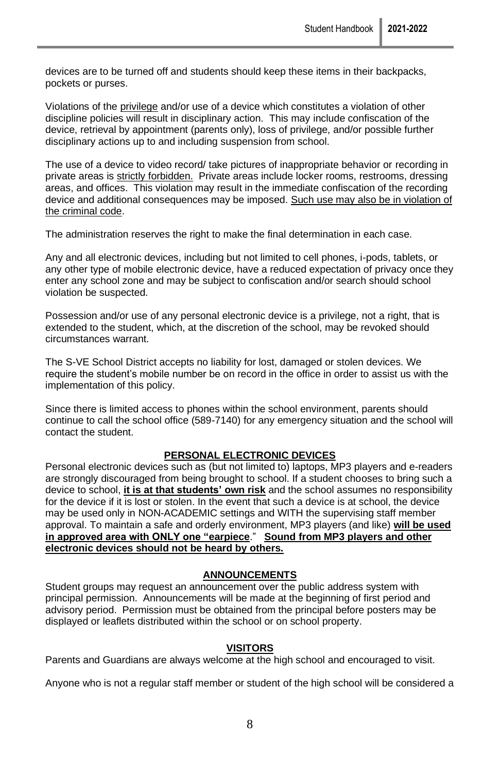devices are to be turned off and students should keep these items in their backpacks, pockets or purses.

Violations of the privilege and/or use of a device which constitutes a violation of other discipline policies will result in disciplinary action. This may include confiscation of the device, retrieval by appointment (parents only), loss of privilege, and/or possible further disciplinary actions up to and including suspension from school.

The use of a device to video record/ take pictures of inappropriate behavior or recording in private areas is strictly forbidden. Private areas include locker rooms, restrooms, dressing areas, and offices. This violation may result in the immediate confiscation of the recording device and additional consequences may be imposed. Such use may also be in violation of the criminal code.

The administration reserves the right to make the final determination in each case.

Any and all electronic devices, including but not limited to cell phones, i-pods, tablets, or any other type of mobile electronic device, have a reduced expectation of privacy once they enter any school zone and may be subject to confiscation and/or search should school violation be suspected.

Possession and/or use of any personal electronic device is a privilege, not a right, that is extended to the student, which, at the discretion of the school, may be revoked should circumstances warrant.

The S-VE School District accepts no liability for lost, damaged or stolen devices. We require the student's mobile number be on record in the office in order to assist us with the implementation of this policy.

Since there is limited access to phones within the school environment, parents should continue to call the school office (589-7140) for any emergency situation and the school will contact the student.

#### **PERSONAL ELECTRONIC DEVICES**

Personal electronic devices such as (but not limited to) laptops, MP3 players and e-readers are strongly discouraged from being brought to school. If a student chooses to bring such a device to school, **it is at that students' own risk** and the school assumes no responsibility for the device if it is lost or stolen. In the event that such a device is at school, the device may be used only in NON-ACADEMIC settings and WITH the supervising staff member approval. To maintain a safe and orderly environment, MP3 players (and like) **will be used in approved area with ONLY one "earpiece**." **Sound from MP3 players and other electronic devices should not be heard by others.** 

#### **ANNOUNCEMENTS**

Student groups may request an announcement over the public address system with principal permission. Announcements will be made at the beginning of first period and advisory period. Permission must be obtained from the principal before posters may be displayed or leaflets distributed within the school or on school property.

#### **VISITORS**

Parents and Guardians are always welcome at the high school and encouraged to visit.

Anyone who is not a regular staff member or student of the high school will be considered a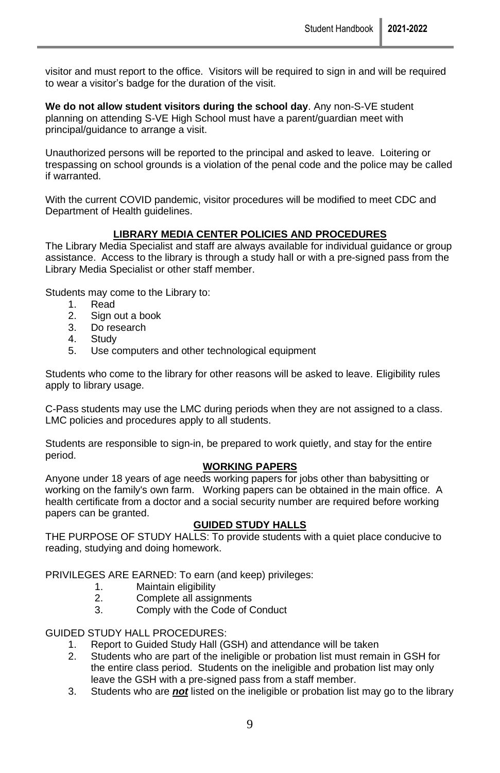visitor and must report to the office. Visitors will be required to sign in and will be required to wear a visitor's badge for the duration of the visit.

**We do not allow student visitors during the school day**. Any non-S-VE student planning on attending S-VE High School must have a parent/guardian meet with principal/guidance to arrange a visit.

Unauthorized persons will be reported to the principal and asked to leave. Loitering or trespassing on school grounds is a violation of the penal code and the police may be called if warranted.

With the current COVID pandemic, visitor procedures will be modified to meet CDC and Department of Health guidelines.

#### **LIBRARY MEDIA CENTER POLICIES AND PROCEDURES**

The Library Media Specialist and staff are always available for individual guidance or group assistance. Access to the library is through a study hall or with a pre-signed pass from the Library Media Specialist or other staff member.

Students may come to the Library to:

- 1. Read
- 2. Sign out a book
- 3. Do research
- 4. Study
- 5. Use computers and other technological equipment

Students who come to the library for other reasons will be asked to leave. Eligibility rules apply to library usage.

C-Pass students may use the LMC during periods when they are not assigned to a class. LMC policies and procedures apply to all students.

Students are responsible to sign-in, be prepared to work quietly, and stay for the entire period.

#### **WORKING PAPERS**

Anyone under 18 years of age needs working papers for jobs other than babysitting or working on the family's own farm. Working papers can be obtained in the main office. A health certificate from a doctor and a social security number are required before working papers can be granted.

#### **GUIDED STUDY HALLS**

THE PURPOSE OF STUDY HALLS: To provide students with a quiet place conducive to reading, studying and doing homework.

PRIVILEGES ARE EARNED: To earn (and keep) privileges:

- 1. Maintain eligibility<br>2. Complete all assic
- 2. Complete all assignments<br>3. Comply with the Code of C
- Comply with the Code of Conduct

GUIDED STUDY HALL PROCEDURES:

- 1. Report to Guided Study Hall (GSH) and attendance will be taken
- 2. Students who are part of the ineligible or probation list must remain in GSH for the entire class period. Students on the ineligible and probation list may only leave the GSH with a pre-signed pass from a staff member.
- 3. Students who are *not* listed on the ineligible or probation list may go to the library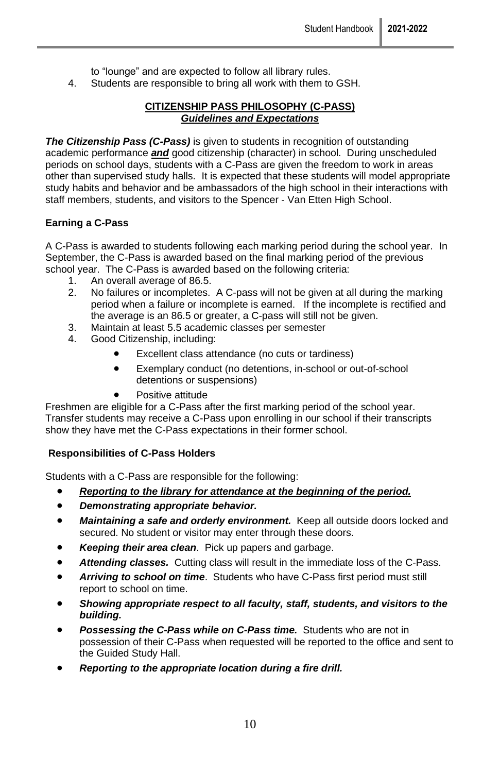to "lounge" and are expected to follow all library rules.

4. Students are responsible to bring all work with them to GSH.

### **CITIZENSHIP PASS PHILOSOPHY (C-PASS)** *Guidelines and Expectations*

**The Citizenship Pass (C-Pass)** is given to students in recognition of outstanding academic performance *and* good citizenship (character) in school. During unscheduled periods on school days, students with a C-Pass are given the freedom to work in areas other than supervised study halls. It is expected that these students will model appropriate study habits and behavior and be ambassadors of the high school in their interactions with staff members, students, and visitors to the Spencer - Van Etten High School.

### **Earning a C-Pass**

A C-Pass is awarded to students following each marking period during the school year. In September, the C-Pass is awarded based on the final marking period of the previous school year. The C-Pass is awarded based on the following criteria:

- 1. An overall average of 86.5.<br>2. No failures or incompletes.
- No failures or incompletes. A C-pass will not be given at all during the marking period when a failure or incomplete is earned. If the incomplete is rectified and the average is an 86.5 or greater, a C-pass will still not be given.
- 3. Maintain at least 5.5 academic classes per semester
- 4. Good Citizenship, including:
	- Excellent class attendance (no cuts or tardiness)
	- Exemplary conduct (no detentions, in-school or out-of-school detentions or suspensions)
	- Positive attitude

Freshmen are eligible for a C-Pass after the first marking period of the school year. Transfer students may receive a C-Pass upon enrolling in our school if their transcripts show they have met the C-Pass expectations in their former school.

### **Responsibilities of C-Pass Holders**

Students with a C-Pass are responsible for the following:

- *Reporting to the library for attendance at the beginning of the period.*
- *Demonstrating appropriate behavior.*
- Maintaining a safe and orderly environment. Keep all outside doors locked and secured. No student or visitor may enter through these doors.
- *Keeping their area clean*. Pick up papers and garbage.
- *Attending classes.* Cutting class will result in the immediate loss of the C-Pass.
- *Arriving to school on time*. Students who have C-Pass first period must still report to school on time.
- *Showing appropriate respect to all faculty, staff, students, and visitors to the building.*
- *Possessing the C-Pass while on C-Pass time.* Students who are not in possession of their C-Pass when requested will be reported to the office and sent to the Guided Study Hall.
- *Reporting to the appropriate location during a fire drill.*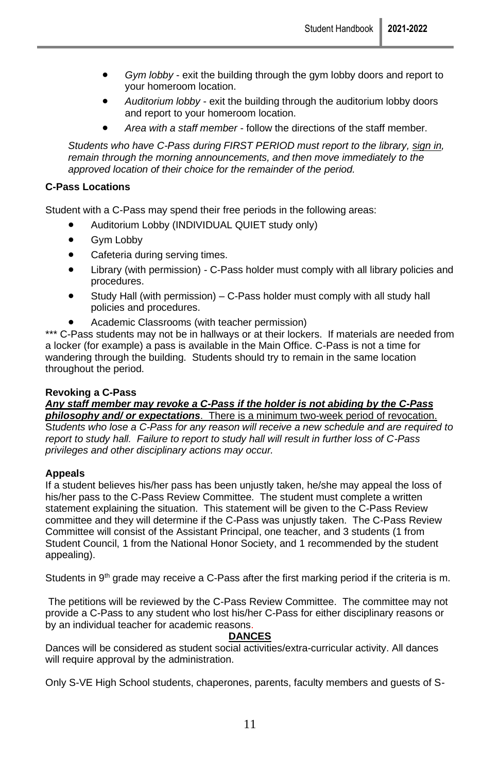- *Gym lobby* exit the building through the gym lobby doors and report to your homeroom location.
- *Auditorium lobby* exit the building through the auditorium lobby doors and report to your homeroom location.
- *Area with a staff member* follow the directions of the staff member.

*Students who have C-Pass during FIRST PERIOD must report to the library, sign in, remain through the morning announcements, and then move immediately to the approved location of their choice for the remainder of the period.*

#### **C-Pass Locations**

Student with a C-Pass may spend their free periods in the following areas:

- Auditorium Lobby (INDIVIDUAL QUIET study only)
- Gym Lobby
- Cafeteria during serving times.
- Library (with permission) C-Pass holder must comply with all library policies and procedures.
- Study Hall (with permission) C-Pass holder must comply with all study hall policies and procedures.
- Academic Classrooms (with teacher permission)

\*\*\* C-Pass students may not be in hallways or at their lockers. If materials are needed from a locker (for example) a pass is available in the Main Office. C-Pass is not a time for wandering through the building. Students should try to remain in the same location throughout the period.

#### **Revoking a C-Pass**

#### *Any staff member may revoke a C-Pass if the holder is not abiding by the C-Pass philosophy and/ or expectations*. There is a minimum two-week period of revocation.

S*tudents who lose a C-Pass for any reason will receive a new schedule and are required to report to study hall. Failure to report to study hall will result in further loss of C-Pass privileges and other disciplinary actions may occur.* 

#### **Appeals**

If a student believes his/her pass has been unjustly taken, he/she may appeal the loss of his/her pass to the C-Pass Review Committee. The student must complete a written statement explaining the situation. This statement will be given to the C-Pass Review committee and they will determine if the C-Pass was unjustly taken. The C-Pass Review Committee will consist of the Assistant Principal, one teacher, and 3 students (1 from Student Council, 1 from the National Honor Society, and 1 recommended by the student appealing).

Students in  $9<sup>th</sup>$  grade may receive a C-Pass after the first marking period if the criteria is m.

The petitions will be reviewed by the C-Pass Review Committee. The committee may not provide a C-Pass to any student who lost his/her C-Pass for either disciplinary reasons or by an individual teacher for academic reasons.

#### **DANCES**

Dances will be considered as student social activities/extra-curricular activity. All dances will require approval by the administration.

Only S-VE High School students, chaperones, parents, faculty members and guests of S-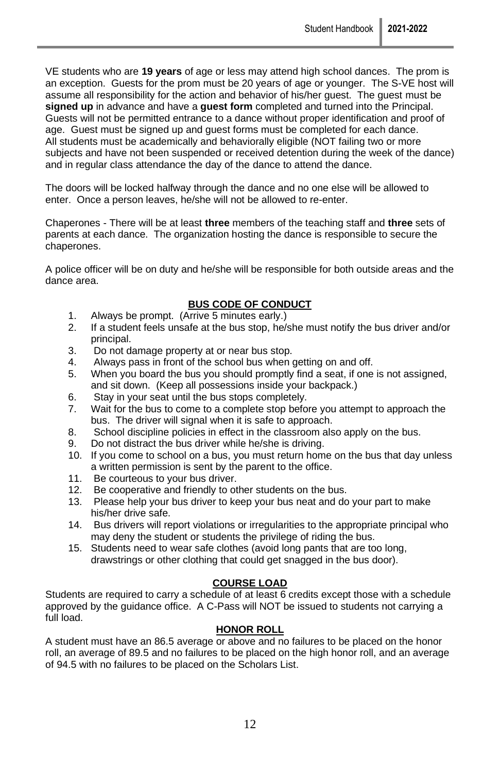VE students who are **19 years** of age or less may attend high school dances. The prom is an exception. Guests for the prom must be 20 years of age or younger. The S-VE host will assume all responsibility for the action and behavior of his/her guest. The guest must be **signed up** in advance and have a **guest form** completed and turned into the Principal. Guests will not be permitted entrance to a dance without proper identification and proof of age. Guest must be signed up and guest forms must be completed for each dance. All students must be academically and behaviorally eligible (NOT failing two or more subjects and have not been suspended or received detention during the week of the dance) and in regular class attendance the day of the dance to attend the dance.

The doors will be locked halfway through the dance and no one else will be allowed to enter. Once a person leaves, he/she will not be allowed to re-enter.

Chaperones - There will be at least **three** members of the teaching staff and **three** sets of parents at each dance. The organization hosting the dance is responsible to secure the chaperones.

A police officer will be on duty and he/she will be responsible for both outside areas and the dance area.

### **BUS CODE OF CONDUCT**

- 1. Always be prompt. (Arrive 5 minutes early.)
- 2. If a student feels unsafe at the bus stop, he/she must notify the bus driver and/or principal.
- 3. Do not damage property at or near bus stop.
- 4. Always pass in front of the school bus when getting on and off.<br>5. When you board the bus you should promptly find a seat, if one
- When you board the bus you should promptly find a seat, if one is not assigned, and sit down. (Keep all possessions inside your backpack.)
- 6. Stay in your seat until the bus stops completely.
- 7. Wait for the bus to come to a complete stop before you attempt to approach the bus. The driver will signal when it is safe to approach.
- 8. School discipline policies in effect in the classroom also apply on the bus.
- 9. Do not distract the bus driver while he/she is driving.
- 10. If you come to school on a bus, you must return home on the bus that day unless a written permission is sent by the parent to the office.
- 11. Be courteous to your bus driver.
- 12. Be cooperative and friendly to other students on the bus.<br>13. Please help your bus driver to keep your bus neat and do
- Please help your bus driver to keep your bus neat and do your part to make his/her drive safe.
- 14. Bus drivers will report violations or irregularities to the appropriate principal who may deny the student or students the privilege of riding the bus.
- 15. Students need to wear safe clothes (avoid long pants that are too long, drawstrings or other clothing that could get snagged in the bus door).

#### **COURSE LOAD**

Students are required to carry a schedule of at least 6 credits except those with a schedule approved by the guidance office. A C-Pass will NOT be issued to students not carrying a full load.

### **HONOR ROLL**

A student must have an 86.5 average or above and no failures to be placed on the honor roll, an average of 89.5 and no failures to be placed on the high honor roll, and an average of 94.5 with no failures to be placed on the Scholars List.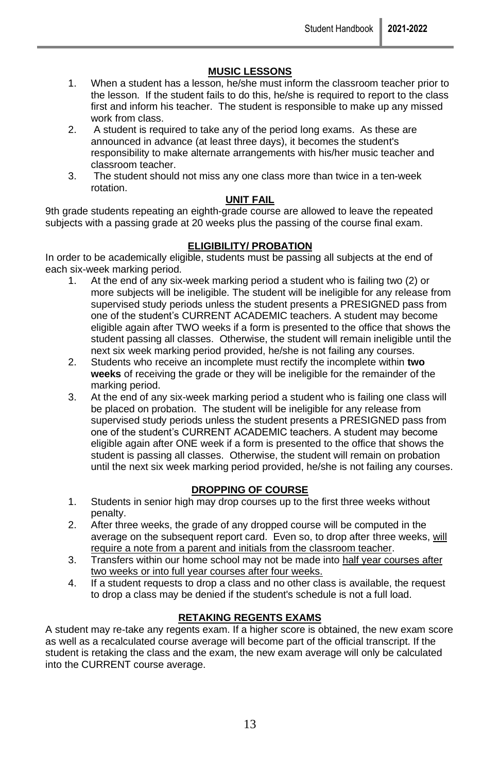### **MUSIC LESSONS**

- 1. When a student has a lesson, he/she must inform the classroom teacher prior to the lesson. If the student fails to do this, he/she is required to report to the class first and inform his teacher. The student is responsible to make up any missed work from class.
- 2. A student is required to take any of the period long exams. As these are announced in advance (at least three days), it becomes the student's responsibility to make alternate arrangements with his/her music teacher and classroom teacher.
- 3. The student should not miss any one class more than twice in a ten-week rotation.

#### **UNIT FAIL**

9th grade students repeating an eighth-grade course are allowed to leave the repeated subjects with a passing grade at 20 weeks plus the passing of the course final exam.

#### **ELIGIBILITY/ PROBATION**

In order to be academically eligible, students must be passing all subjects at the end of each six-week marking period.

- 1. At the end of any six-week marking period a student who is failing two (2) or more subjects will be ineligible. The student will be ineligible for any release from supervised study periods unless the student presents a PRESIGNED pass from one of the student's CURRENT ACADEMIC teachers. A student may become eligible again after TWO weeks if a form is presented to the office that shows the student passing all classes. Otherwise, the student will remain ineligible until the next six week marking period provided, he/she is not failing any courses.
- 2. Students who receive an incomplete must rectify the incomplete within **two weeks** of receiving the grade or they will be ineligible for the remainder of the marking period.
- 3. At the end of any six-week marking period a student who is failing one class will be placed on probation. The student will be ineligible for any release from supervised study periods unless the student presents a PRESIGNED pass from one of the student's CURRENT ACADEMIC teachers. A student may become eligible again after ONE week if a form is presented to the office that shows the student is passing all classes. Otherwise, the student will remain on probation until the next six week marking period provided, he/she is not failing any courses.

### **DROPPING OF COURSE**

- 1. Students in senior high may drop courses up to the first three weeks without penalty.
- 2. After three weeks, the grade of any dropped course will be computed in the average on the subsequent report card. Even so, to drop after three weeks, will require a note from a parent and initials from the classroom teacher.
- 3. Transfers within our home school may not be made into half year courses after two weeks or into full year courses after four weeks.
- 4. If a student requests to drop a class and no other class is available, the request to drop a class may be denied if the student's schedule is not a full load.

### **RETAKING REGENTS EXAMS**

A student may re-take any regents exam. If a higher score is obtained, the new exam score as well as a recalculated course average will become part of the official transcript. If the student is retaking the class and the exam, the new exam average will only be calculated into the CURRENT course average.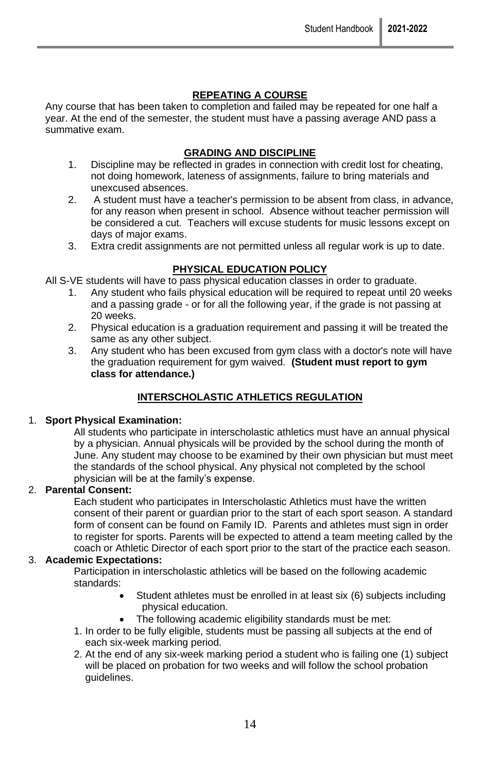### **REPEATING A COURSE**

Any course that has been taken to completion and failed may be repeated for one half a year. At the end of the semester, the student must have a passing average AND pass a summative exam.

### **GRADING AND DISCIPLINE**

- 1. Discipline may be reflected in grades in connection with credit lost for cheating, not doing homework, lateness of assignments, failure to bring materials and unexcused absences.
- 2. A student must have a teacher's permission to be absent from class, in advance, for any reason when present in school. Absence without teacher permission will be considered a cut. Teachers will excuse students for music lessons except on days of major exams.
- 3. Extra credit assignments are not permitted unless all regular work is up to date.

#### **PHYSICAL EDUCATION POLICY**

All S-VE students will have to pass physical education classes in order to graduate.

- 1. Any student who fails physical education will be required to repeat until 20 weeks and a passing grade - or for all the following year, if the grade is not passing at 20 weeks.
- 2. Physical education is a graduation requirement and passing it will be treated the same as any other subject.
- 3. Any student who has been excused from gym class with a doctor's note will have the graduation requirement for gym waived. **(Student must report to gym class for attendance.)**

### **INTERSCHOLASTIC ATHLETICS REGULATION**

#### 1. **Sport Physical Examination:**

All students who participate in interscholastic athletics must have an annual physical by a physician. Annual physicals will be provided by the school during the month of June. Any student may choose to be examined by their own physician but must meet the standards of the school physical. Any physical not completed by the school physician will be at the family's expense.

### 2. **Parental Consent:**

Each student who participates in Interscholastic Athletics must have the written consent of their parent or guardian prior to the start of each sport season. A standard form of consent can be found on Family ID. Parents and athletes must sign in order to register for sports. Parents will be expected to attend a team meeting called by the coach or Athletic Director of each sport prior to the start of the practice each season.

#### 3. **Academic Expectations:**

Participation in interscholastic athletics will be based on the following academic standards:

- Student athletes must be enrolled in at least six (6) subjects including physical education.
- The following academic eligibility standards must be met:
- 1. In order to be fully eligible, students must be passing all subjects at the end of each six-week marking period.
- 2. At the end of any six-week marking period a student who is failing one (1) subject will be placed on probation for two weeks and will follow the school probation guidelines.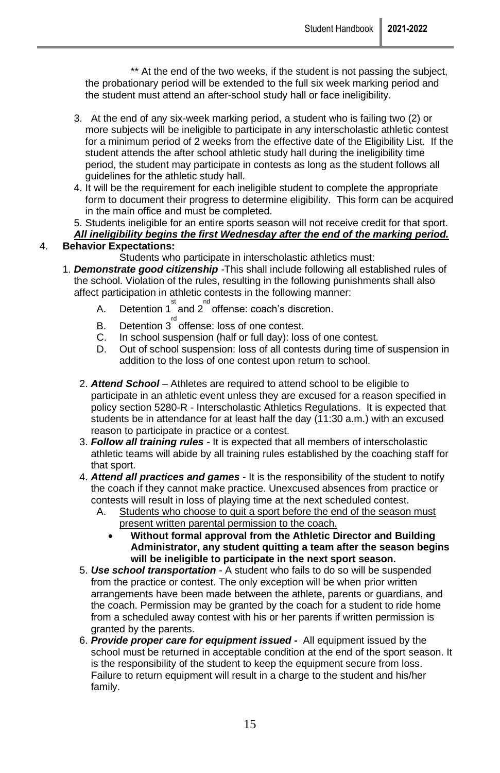\*\* At the end of the two weeks, if the student is not passing the subject, the probationary period will be extended to the full six week marking period and the student must attend an after-school study hall or face ineligibility.

- 3. At the end of any six-week marking period, a student who is failing two (2) or more subjects will be ineligible to participate in any interscholastic athletic contest for a minimum period of 2 weeks from the effective date of the Eligibility List. If the student attends the after school athletic study hall during the ineligibility time period, the student may participate in contests as long as the student follows all guidelines for the athletic study hall.
- 4. It will be the requirement for each ineligible student to complete the appropriate form to document their progress to determine eligibility. This form can be acquired in the main office and must be completed.
- 5. Students ineligible for an entire sports season will not receive credit for that sport. *All ineligibility begins the first Wednesday after the end of the marking period.*

# 4. **Behavior Expectations:**

- Students who participate in interscholastic athletics must:
- 1. *Demonstrate good citizenship* -This shall include following all established rules of the school. Violation of the rules, resulting in the following punishments shall also affect participation in athletic contests in the following manner:
	- A. Detention 1<sup>st</sup> and 2<sup>nd</sup> offense: coach's discretion.
	- B. Detention 3<sup>"</sup> offense: loss of one contest.
	- C. In school suspension (half or full day): loss of one contest.<br>D. Out of school suspension: loss of all contests during time of
	- Out of school suspension: loss of all contests during time of suspension in addition to the loss of one contest upon return to school.
	- 2. *Attend School*  Athletes are required to attend school to be eligible to participate in an athletic event unless they are excused for a reason specified in policy section 5280-R - Interscholastic Athletics Regulations. It is expected that students be in attendance for at least half the day (11:30 a.m.) with an excused reason to participate in practice or a contest.
	- 3. *Follow all training rules* It is expected that all members of interscholastic athletic teams will abide by all training rules established by the coaching staff for that sport.
	- 4. *Attend all practices and games* It is the responsibility of the student to notify the coach if they cannot make practice. Unexcused absences from practice or contests will result in loss of playing time at the next scheduled contest.
		- A. Students who choose to quit a sport before the end of the season must present written parental permission to the coach.
			- **Without formal approval from the Athletic Director and Building Administrator, any student quitting a team after the season begins will be ineligible to participate in the next sport season.**
	- 5. *Use school transportation* A student who fails to do so will be suspended from the practice or contest. The only exception will be when prior written arrangements have been made between the athlete, parents or guardians, and the coach. Permission may be granted by the coach for a student to ride home from a scheduled away contest with his or her parents if written permission is granted by the parents.
	- 6. *Provide proper care for equipment issued -* All equipment issued by the school must be returned in acceptable condition at the end of the sport season. It is the responsibility of the student to keep the equipment secure from loss. Failure to return equipment will result in a charge to the student and his/her family.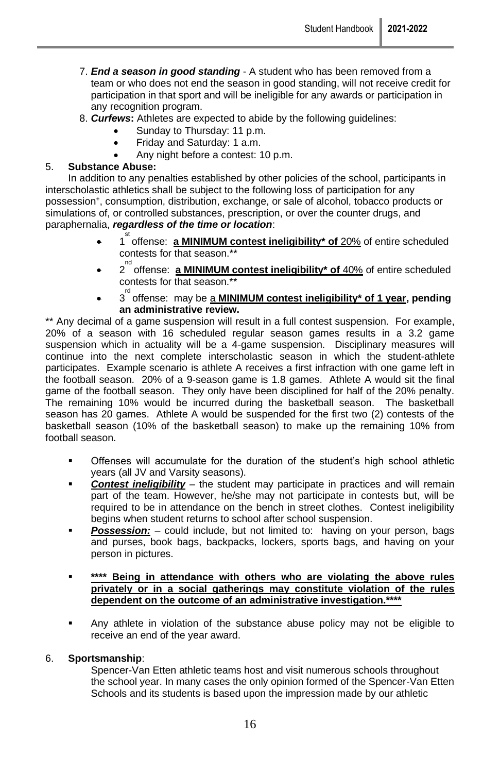- 7. *End a season in good standing* A student who has been removed from a team or who does not end the season in good standing, will not receive credit for participation in that sport and will be ineligible for any awards or participation in any recognition program.
- 8. *Curfews***:** Athletes are expected to abide by the following guidelines:
	- Sunday to Thursday: 11 p.m.
	- Friday and Saturday: 1 a.m.
	- Any night before a contest: 10 p.m.

#### 5. **Substance Abuse:**

In addition to any penalties established by other policies of the school, participants in interscholastic athletics shall be subject to the following loss of participation for any possession<sup>+</sup> , consumption, distribution, exchange, or sale of alcohol, tobacco products or simulations of, or controlled substances, prescription, or over the counter drugs, and paraphernalia, *regardless of the time or location*:

- 1 st offense: **a MINIMUM contest ineligibility\* of** 20% of entire scheduled contests for that season.\*\*
- 2<sup>nd</sup> offense: **a MINIMUM contest ineligibility\* of 40%** of entire scheduled contests for that season.\*\*
- 3<sup>d</sup> offense: may be a **MINIMUM contest ineligibility\* of 1 year, pending an administrative review.**

\*\* Any decimal of a game suspension will result in a full contest suspension. For example, 20% of a season with 16 scheduled regular season games results in a 3.2 game suspension which in actuality will be a 4-game suspension. Disciplinary measures will continue into the next complete interscholastic season in which the student-athlete participates. Example scenario is athlete A receives a first infraction with one game left in the football season. 20% of a 9-season game is 1.8 games. Athlete A would sit the final game of the football season. They only have been disciplined for half of the 20% penalty. The remaining 10% would be incurred during the basketball season. The basketball season has 20 games. Athlete A would be suspended for the first two (2) contests of the basketball season (10% of the basketball season) to make up the remaining 10% from football season.

- Offenses will accumulate for the duration of the student's high school athletic years (all JV and Varsity seasons).
- **Contest ineligibility** the student may participate in practices and will remain part of the team. However, he/she may not participate in contests but, will be required to be in attendance on the bench in street clothes. Contest ineligibility begins when student returns to school after school suspension.
- **Possession:** could include, but not limited to: having on your person, bags and purses, book bags, backpacks, lockers, sports bags, and having on your person in pictures.

#### \*\*\*\* Being in attendance with others who are violating the above rules **privately or in a social gatherings may constitute violation of the rules dependent on the outcome of an administrative investigation.\*\*\*\***

▪ Any athlete in violation of the substance abuse policy may not be eligible to receive an end of the year award.

#### 6. **Sportsmanship**:

Spencer-Van Etten athletic teams host and visit numerous schools throughout the school year. In many cases the only opinion formed of the Spencer-Van Etten Schools and its students is based upon the impression made by our athletic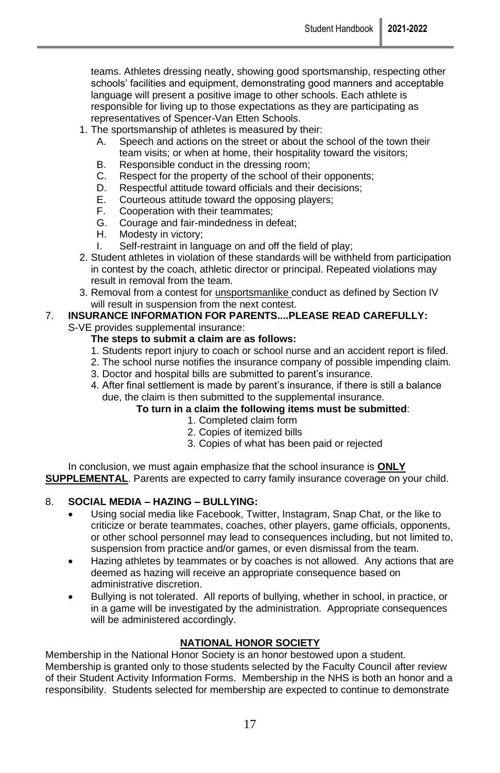teams. Athletes dressing neatly, showing good sportsmanship, respecting other schools' facilities and equipment, demonstrating good manners and acceptable language will present a positive image to other schools. Each athlete is responsible for living up to those expectations as they are participating as representatives of Spencer-Van Etten Schools.

- 1. The sportsmanship of athletes is measured by their:
	- A. Speech and actions on the street or about the school of the town their team visits; or when at home, their hospitality toward the visitors;
	- B. Responsible conduct in the dressing room;
	- C. Respect for the property of the school of their opponents;
	- D. Respectful attitude toward officials and their decisions;<br>E. Courteous attitude toward the opposing players:
	- E. Courteous attitude toward the opposing players;
	- F. Cooperation with their teammates;<br>G. Courage and fair-mindedness in de
	- Courage and fair-mindedness in defeat;
	- H. Modesty in victory;
	- I. Self-restraint in language on and off the field of play;
- 2. Student athletes in violation of these standards will be withheld from participation in contest by the coach, athletic director or principal. Repeated violations may result in removal from the team.
- 3. Removal from a contest for *unsportsmanlike* conduct as defined by Section IV will result in suspension from the next contest.

#### 7. **INSURANCE INFORMATION FOR PARENTS....PLEASE READ CAREFULLY:**  S-VE provides supplemental insurance:

#### **The steps to submit a claim are as follows:**

- 1. Students report injury to coach or school nurse and an accident report is filed.
- 2. The school nurse notifies the insurance company of possible impending claim.
- 3. Doctor and hospital bills are submitted to parent's insurance.
- 4. After final settlement is made by parent's insurance, if there is still a balance due, the claim is then submitted to the supplemental insurance.

#### **To turn in a claim the following items must be submitted**:

- 1. Completed claim form
- 2. Copies of itemized bills
- 3. Copies of what has been paid or rejected

In conclusion, we must again emphasize that the school insurance is **ONLY SUPPLEMENTAL**. Parents are expected to carry family insurance coverage on your child.

### 8. **SOCIAL MEDIA – HAZING – BULLYING:**

- Using social media like Facebook, Twitter, Instagram, Snap Chat, or the like to criticize or berate teammates, coaches, other players, game officials, opponents, or other school personnel may lead to consequences including, but not limited to, suspension from practice and/or games, or even dismissal from the team.
- Hazing athletes by teammates or by coaches is not allowed. Any actions that are deemed as hazing will receive an appropriate consequence based on administrative discretion.
- Bullying is not tolerated. All reports of bullying, whether in school, in practice, or in a game will be investigated by the administration. Appropriate consequences will be administered accordingly.

### **NATIONAL HONOR SOCIETY**

Membership in the National Honor Society is an honor bestowed upon a student. Membership is granted only to those students selected by the Faculty Council after review of their Student Activity Information Forms. Membership in the NHS is both an honor and a responsibility. Students selected for membership are expected to continue to demonstrate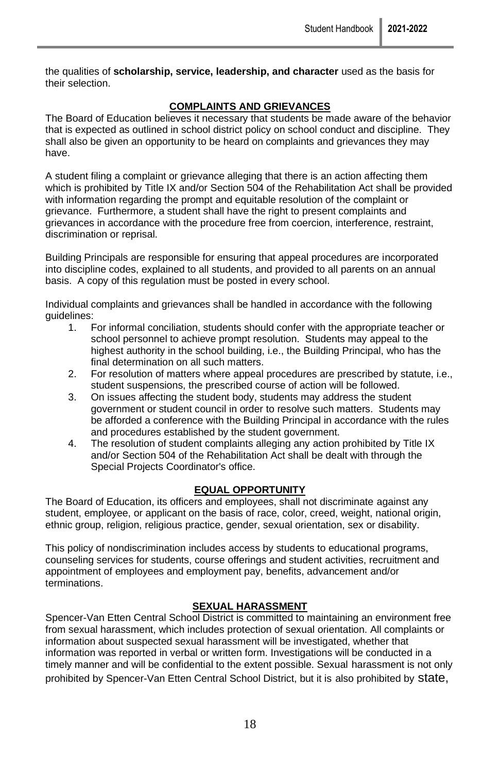the qualities of **scholarship, service, leadership, and character** used as the basis for their selection.

### **COMPLAINTS AND GRIEVANCES**

The Board of Education believes it necessary that students be made aware of the behavior that is expected as outlined in school district policy on school conduct and discipline. They shall also be given an opportunity to be heard on complaints and grievances they may have.

A student filing a complaint or grievance alleging that there is an action affecting them which is prohibited by Title IX and/or Section 504 of the Rehabilitation Act shall be provided with information regarding the prompt and equitable resolution of the complaint or grievance. Furthermore, a student shall have the right to present complaints and grievances in accordance with the procedure free from coercion, interference, restraint, discrimination or reprisal.

Building Principals are responsible for ensuring that appeal procedures are incorporated into discipline codes, explained to all students, and provided to all parents on an annual basis. A copy of this regulation must be posted in every school.

Individual complaints and grievances shall be handled in accordance with the following guidelines:

- 1. For informal conciliation, students should confer with the appropriate teacher or school personnel to achieve prompt resolution. Students may appeal to the highest authority in the school building, i.e., the Building Principal, who has the final determination on all such matters.
- 2. For resolution of matters where appeal procedures are prescribed by statute, i.e., student suspensions, the prescribed course of action will be followed.
- 3. On issues affecting the student body, students may address the student government or student council in order to resolve such matters. Students may be afforded a conference with the Building Principal in accordance with the rules and procedures established by the student government.
- 4. The resolution of student complaints alleging any action prohibited by Title IX and/or Section 504 of the Rehabilitation Act shall be dealt with through the Special Projects Coordinator's office.

### **EQUAL OPPORTUNITY**

The Board of Education, its officers and employees, shall not discriminate against any student, employee, or applicant on the basis of race, color, creed, weight, national origin, ethnic group, religion, religious practice, gender, sexual orientation, sex or disability.

This policy of nondiscrimination includes access by students to educational programs, counseling services for students, course offerings and student activities, recruitment and appointment of employees and employment pay, benefits, advancement and/or terminations.

### **SEXUAL HARASSMENT**

Spencer-Van Etten Central School District is committed to maintaining an environment free from sexual harassment, which includes protection of sexual orientation. All complaints or information about suspected sexual harassment will be investigated, whether that information was reported in verbal or written form. Investigations will be conducted in a timely manner and will be confidential to the extent possible. Sexual harassment is not only prohibited by Spencer-Van Etten Central School District, but it is also prohibited by state,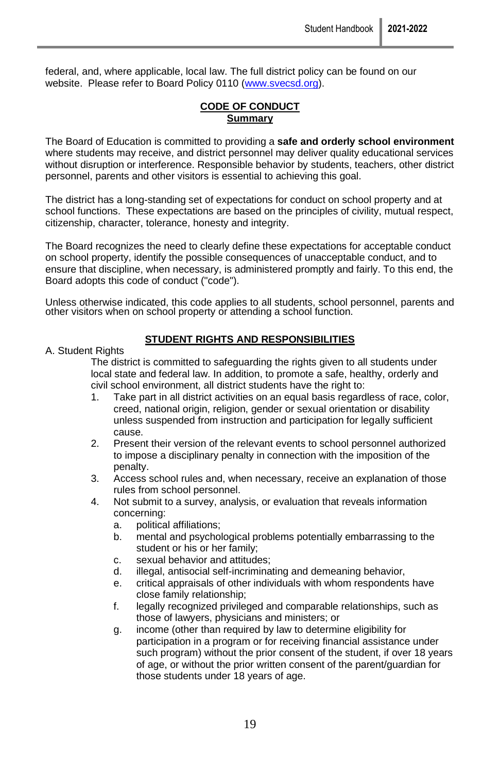federal, and, where applicable, local law. The full district policy can be found on our website. Please refer to Board Policy 0110 [\(www.svecsd.org\)](http://www.svecsd.org/).

### **CODE OF CONDUCT Summary**

The Board of Education is committed to providing a **safe and orderly school environment** where students may receive, and district personnel may deliver quality educational services without disruption or interference. Responsible behavior by students, teachers, other district personnel, parents and other visitors is essential to achieving this goal.

The district has a long-standing set of expectations for conduct on school property and at school functions. These expectations are based on the principles of civility, mutual respect, citizenship, character, tolerance, honesty and integrity.

The Board recognizes the need to clearly define these expectations for acceptable conduct on school property, identify the possible consequences of unacceptable conduct, and to ensure that discipline, when necessary, is administered promptly and fairly. To this end, the Board adopts this code of conduct ("code").

Unless otherwise indicated, this code applies to all students, school personnel, parents and other visitors when on school property or attending a school function.

#### A. Student Rights

#### **STUDENT RIGHTS AND RESPONSIBILITIES**

The district is committed to safeguarding the rights given to all students under local state and federal law. In addition, to promote a safe, healthy, orderly and civil school environment, all district students have the right to:

- 1. Take part in all district activities on an equal basis regardless of race, color, creed, national origin, religion, gender or sexual orientation or disability unless suspended from instruction and participation for legally sufficient cause.
- 2. Present their version of the relevant events to school personnel authorized to impose a disciplinary penalty in connection with the imposition of the penalty.
- 3. Access school rules and, when necessary, receive an explanation of those rules from school personnel.
- 4. Not submit to a survey, analysis, or evaluation that reveals information concerning:
	- a. political affiliations;
	- b. mental and psychological problems potentially embarrassing to the student or his or her family;
	- c. sexual behavior and attitudes;
	- d. illegal, antisocial self-incriminating and demeaning behavior,
	- e. critical appraisals of other individuals with whom respondents have close family relationship;
	- f. legally recognized privileged and comparable relationships, such as those of lawyers, physicians and ministers; or
	- g. income (other than required by law to determine eligibility for participation in a program or for receiving financial assistance under such program) without the prior consent of the student, if over 18 years of age, or without the prior written consent of the parent/guardian for those students under 18 years of age.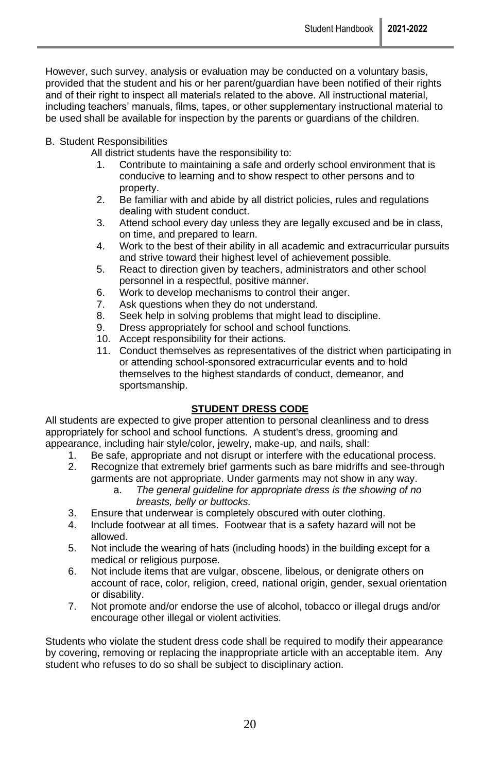However, such survey, analysis or evaluation may be conducted on a voluntary basis, provided that the student and his or her parent/guardian have been notified of their rights and of their right to inspect all materials related to the above. All instructional material, including teachers' manuals, films, tapes, or other supplementary instructional material to be used shall be available for inspection by the parents or guardians of the children.

#### B. Student Responsibilities

All district students have the responsibility to:

- 1. Contribute to maintaining a safe and orderly school environment that is conducive to learning and to show respect to other persons and to property.
- 2. Be familiar with and abide by all district policies, rules and regulations dealing with student conduct.
- 3. Attend school every day unless they are legally excused and be in class, on time, and prepared to learn.
- 4. Work to the best of their ability in all academic and extracurricular pursuits and strive toward their highest level of achievement possible.
- 5. React to direction given by teachers, administrators and other school personnel in a respectful, positive manner.
- 6. Work to develop mechanisms to control their anger.
- 7. Ask questions when they do not understand.
- 8. Seek help in solving problems that might lead to discipline.
- 9. Dress appropriately for school and school functions.
- 10. Accept responsibility for their actions.
- 11. Conduct themselves as representatives of the district when participating in or attending school-sponsored extracurricular events and to hold themselves to the highest standards of conduct, demeanor, and sportsmanship.

### **STUDENT DRESS CODE**

All students are expected to give proper attention to personal cleanliness and to dress appropriately for school and school functions. A student's dress, grooming and appearance, including hair style/color, jewelry, make-up, and nails, shall:

- 1. Be safe, appropriate and not disrupt or interfere with the educational process.
- 2. Recognize that extremely brief garments such as bare midriffs and see-through garments are not appropriate. Under garments may not show in any way.
	- a. *The general guideline for appropriate dress is the showing of no breasts, belly or buttocks.*
- 3. Ensure that underwear is completely obscured with outer clothing.
- 4. Include footwear at all times. Footwear that is a safety hazard will not be allowed.
- 5. Not include the wearing of hats (including hoods) in the building except for a medical or religious purpose.
- 6. Not include items that are vulgar, obscene, libelous, or denigrate others on account of race, color, religion, creed, national origin, gender, sexual orientation or disability.
- 7. Not promote and/or endorse the use of alcohol, tobacco or illegal drugs and/or encourage other illegal or violent activities.

Students who violate the student dress code shall be required to modify their appearance by covering, removing or replacing the inappropriate article with an acceptable item. Any student who refuses to do so shall be subject to disciplinary action.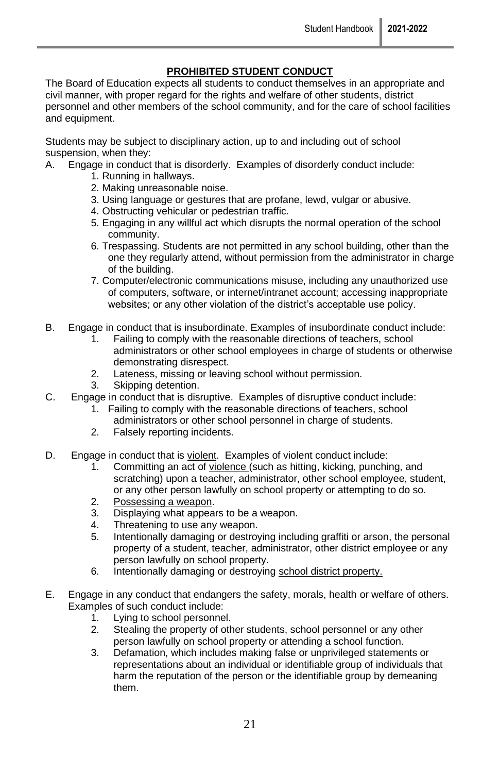### **PROHIBITED STUDENT CONDUCT**

The Board of Education expects all students to conduct themselves in an appropriate and civil manner, with proper regard for the rights and welfare of other students, district personnel and other members of the school community, and for the care of school facilities and equipment.

Students may be subject to disciplinary action, up to and including out of school suspension, when they:

- A. Engage in conduct that is disorderly. Examples of disorderly conduct include:
	- 1. Running in hallways.
	- 2. Making unreasonable noise.
	- 3. Using language or gestures that are profane, lewd, vulgar or abusive.
	- 4. Obstructing vehicular or pedestrian traffic.
	- 5. Engaging in any willful act which disrupts the normal operation of the school community.
	- 6. Trespassing. Students are not permitted in any school building, other than the one they regularly attend, without permission from the administrator in charge of the building.
	- 7. Computer/electronic communications misuse, including any unauthorized use of computers, software, or internet/intranet account; accessing inappropriate websites; or any other violation of the district's acceptable use policy.
- B. Engage in conduct that is insubordinate. Examples of insubordinate conduct include:
	- 1. Failing to comply with the reasonable directions of teachers, school administrators or other school employees in charge of students or otherwise demonstrating disrespect.
	- 2. Lateness, missing or leaving school without permission.
	- 3. Skipping detention.
- C. Engage in conduct that is disruptive. Examples of disruptive conduct include:
	- 1. Failing to comply with the reasonable directions of teachers, school administrators or other school personnel in charge of students.
	- 2. Falsely reporting incidents.
- D. Engage in conduct that is violent. Examples of violent conduct include:
	- 1. Committing an act of violence (such as hitting, kicking, punching, and scratching) upon a teacher, administrator, other school employee, student, or any other person lawfully on school property or attempting to do so.
	- 2. Possessing a weapon.
	- 3. Displaying what appears to be a weapon.
	- 4. Threatening to use any weapon.
	- 5. Intentionally damaging or destroying including graffiti or arson, the personal property of a student, teacher, administrator, other district employee or any person lawfully on school property.
	- 6. Intentionally damaging or destroying school district property.
- E. Engage in any conduct that endangers the safety, morals, health or welfare of others. Examples of such conduct include:
	- 1. Lying to school personnel.
	- 2. Stealing the property of other students, school personnel or any other person lawfully on school property or attending a school function.
	- 3. Defamation, which includes making false or unprivileged statements or representations about an individual or identifiable group of individuals that harm the reputation of the person or the identifiable group by demeaning them.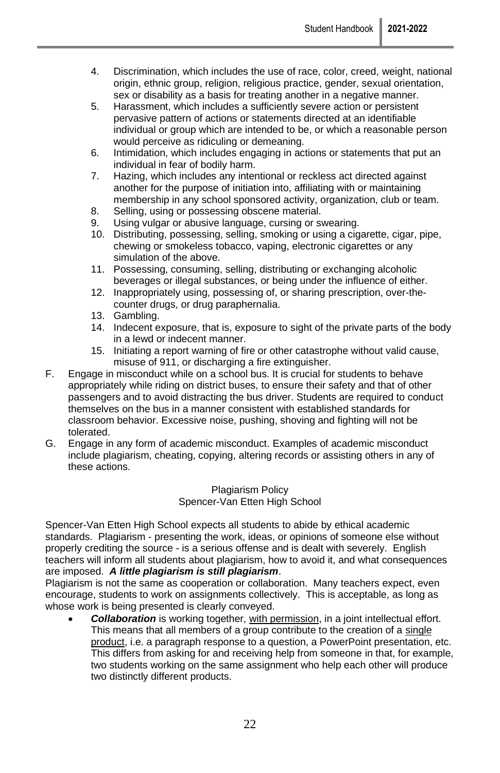- 4. Discrimination, which includes the use of race, color, creed, weight, national origin, ethnic group, religion, religious practice, gender, sexual orientation, sex or disability as a basis for treating another in a negative manner.
- 5. Harassment, which includes a sufficiently severe action or persistent pervasive pattern of actions or statements directed at an identifiable individual or group which are intended to be, or which a reasonable person would perceive as ridiculing or demeaning.
- 6. Intimidation, which includes engaging in actions or statements that put an individual in fear of bodily harm.
- 7. Hazing, which includes any intentional or reckless act directed against another for the purpose of initiation into, affiliating with or maintaining membership in any school sponsored activity, organization, club or team.
- 8. Selling, using or possessing obscene material.
- 9. Using vulgar or abusive language, cursing or swearing.
- 10. Distributing, possessing, selling, smoking or using a cigarette, cigar, pipe, chewing or smokeless tobacco, vaping, electronic cigarettes or any simulation of the above.
- 11. Possessing, consuming, selling, distributing or exchanging alcoholic beverages or illegal substances, or being under the influence of either.
- 12. Inappropriately using, possessing of, or sharing prescription, over-thecounter drugs, or drug paraphernalia.
- 13. Gambling.
- 14. Indecent exposure, that is, exposure to sight of the private parts of the body in a lewd or indecent manner.
- 15. Initiating a report warning of fire or other catastrophe without valid cause, misuse of 911, or discharging a fire extinguisher.
- F. Engage in misconduct while on a school bus. It is crucial for students to behave appropriately while riding on district buses, to ensure their safety and that of other passengers and to avoid distracting the bus driver. Students are required to conduct themselves on the bus in a manner consistent with established standards for classroom behavior. Excessive noise, pushing, shoving and fighting will not be tolerated.
- G. Engage in any form of academic misconduct. Examples of academic misconduct include plagiarism, cheating, copying, altering records or assisting others in any of these actions.

Plagiarism Policy Spencer-Van Etten High School

Spencer-Van Etten High School expects all students to abide by ethical academic standards. Plagiarism - presenting the work, ideas, or opinions of someone else without properly crediting the source - is a serious offense and is dealt with severely. English teachers will inform all students about plagiarism, how to avoid it, and what consequences are imposed. *A little plagiarism is still plagiarism*.

Plagiarism is not the same as cooperation or collaboration. Many teachers expect, even encourage, students to work on assignments collectively. This is acceptable, as long as whose work is being presented is clearly conveyed.

• *Collaboration* is working together, with permission, in a joint intellectual effort. This means that all members of a group contribute to the creation of a single product, i.e. a paragraph response to a question, a PowerPoint presentation, etc. This differs from asking for and receiving help from someone in that, for example, two students working on the same assignment who help each other will produce two distinctly different products.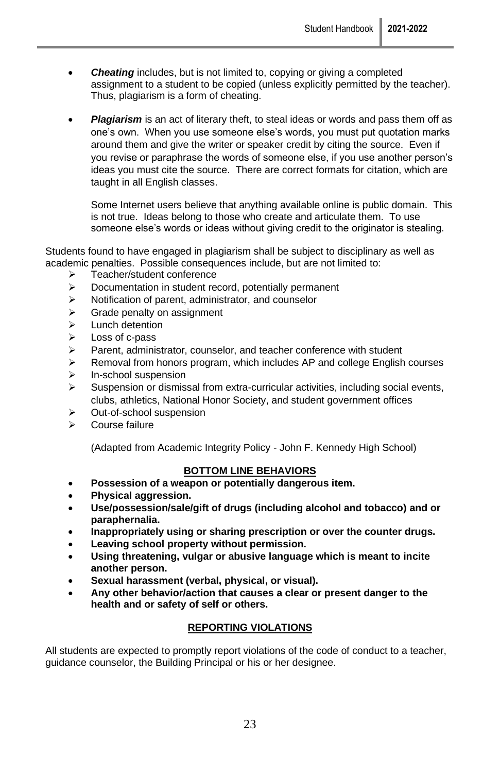- **Cheating** includes, but is not limited to, copying or giving a completed assignment to a student to be copied (unless explicitly permitted by the teacher). Thus, plagiarism is a form of cheating.
- **Plagiarism** is an act of literary theft, to steal ideas or words and pass them off as one's own. When you use someone else's words, you must put quotation marks around them and give the writer or speaker credit by citing the source. Even if you revise or paraphrase the words of someone else, if you use another person's ideas you must cite the source. There are correct formats for citation, which are taught in all English classes.

Some Internet users believe that anything available online is public domain. This is not true. Ideas belong to those who create and articulate them. To use someone else's words or ideas without giving credit to the originator is stealing.

Students found to have engaged in plagiarism shall be subject to disciplinary as well as academic penalties. Possible consequences include, but are not limited to:

- ➢ Teacher/student conference
- ➢ Documentation in student record, potentially permanent
- ➢ Notification of parent, administrator, and counselor
- ➢ Grade penalty on assignment
- ➢ Lunch detention
- ➢ Loss of c-pass
- ➢ Parent, administrator, counselor, and teacher conference with student
- ➢ Removal from honors program, which includes AP and college English courses
- ➢ In-school suspension
- $\triangleright$  Suspension or dismissal from extra-curricular activities, including social events, clubs, athletics, National Honor Society, and student government offices
- ➢ Out-of-school suspension
- ➢ Course failure

(Adapted from Academic Integrity Policy - John F. Kennedy High School)

#### **BOTTOM LINE BEHAVIORS**

- **Possession of a weapon or potentially dangerous item.**
- **Physical aggression.**
- **Use/possession/sale/gift of drugs (including alcohol and tobacco) and or paraphernalia.**
- **Inappropriately using or sharing prescription or over the counter drugs.**
- **Leaving school property without permission.**
- **Using threatening, vulgar or abusive language which is meant to incite another person.**
- **Sexual harassment (verbal, physical, or visual).**
- **Any other behavior/action that causes a clear or present danger to the health and or safety of self or others.**

### **REPORTING VIOLATIONS**

All students are expected to promptly report violations of the code of conduct to a teacher, guidance counselor, the Building Principal or his or her designee.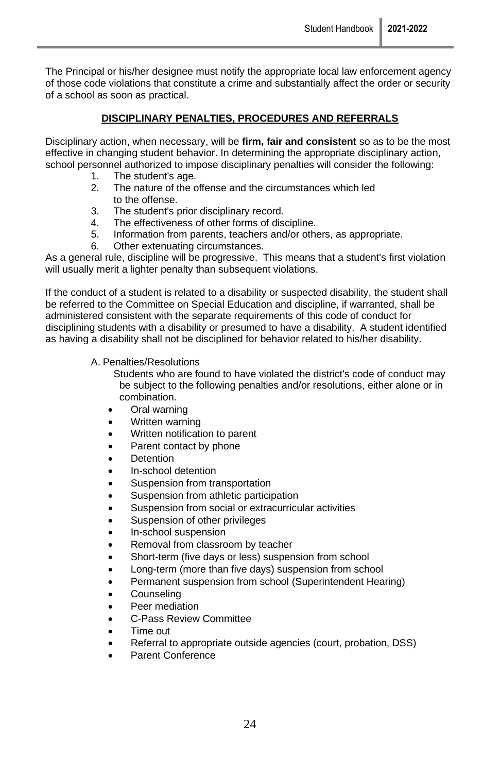The Principal or his/her designee must notify the appropriate local law enforcement agency of those code violations that constitute a crime and substantially affect the order or security of a school as soon as practical.

### **DISCIPLINARY PENALTIES, PROCEDURES AND REFERRALS**

Disciplinary action, when necessary, will be **firm, fair and consistent** so as to be the most effective in changing student behavior. In determining the appropriate disciplinary action, school personnel authorized to impose disciplinary penalties will consider the following:

- 1. The student's age.
- 2. The nature of the offense and the circumstances which led to the offense.
- 3. The student's prior disciplinary record.
- 4. The effectiveness of other forms of discipline.
- 5. Information from parents, teachers and/or others, as appropriate.
- 6. Other extenuating circumstances.

As a general rule, discipline will be progressive. This means that a student's first violation will usually merit a lighter penalty than subsequent violations.

If the conduct of a student is related to a disability or suspected disability, the student shall be referred to the Committee on Special Education and discipline, if warranted, shall be administered consistent with the separate requirements of this code of conduct for disciplining students with a disability or presumed to have a disability. A student identified as having a disability shall not be disciplined for behavior related to his/her disability.

A. Penalties/Resolutions

Students who are found to have violated the district's code of conduct may be subject to the following penalties and/or resolutions, either alone or in combination.

- Oral warning
- Written warning
- Written notification to parent
- Parent contact by phone
- **Detention**
- In-school detention
- Suspension from transportation
- Suspension from athletic participation
- Suspension from social or extracurricular activities
- Suspension of other privileges
- In-school suspension
- Removal from classroom by teacher
- Short-term (five days or less) suspension from school
- Long-term (more than five days) suspension from school
- Permanent suspension from school (Superintendent Hearing)
- Counseling
- Peer mediation
- C-Pass Review Committee
- Time out
- Referral to appropriate outside agencies (court, probation, DSS)
- Parent Conference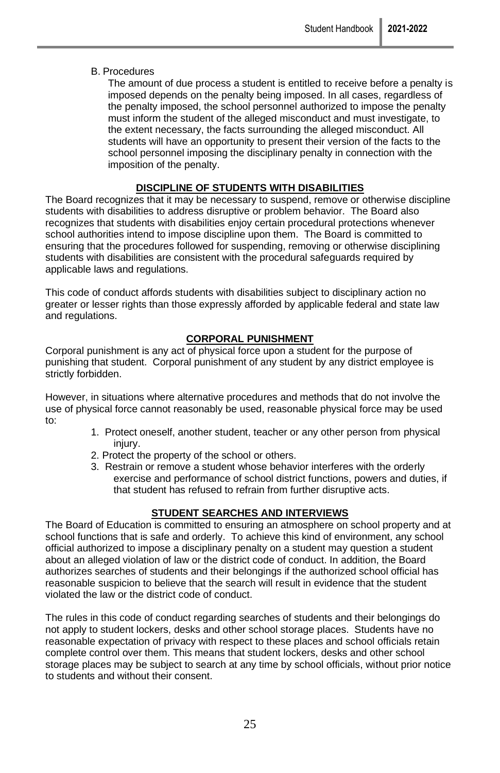#### B. Procedures

The amount of due process a student is entitled to receive before a penalty is imposed depends on the penalty being imposed. In all cases, regardless of the penalty imposed, the school personnel authorized to impose the penalty must inform the student of the alleged misconduct and must investigate, to the extent necessary, the facts surrounding the alleged misconduct. All students will have an opportunity to present their version of the facts to the school personnel imposing the disciplinary penalty in connection with the imposition of the penalty.

### **DISCIPLINE OF STUDENTS WITH DISABILITIES**

The Board recognizes that it may be necessary to suspend, remove or otherwise discipline students with disabilities to address disruptive or problem behavior. The Board also recognizes that students with disabilities enjoy certain procedural protections whenever school authorities intend to impose discipline upon them. The Board is committed to ensuring that the procedures followed for suspending, removing or otherwise disciplining students with disabilities are consistent with the procedural safeguards required by applicable laws and regulations.

This code of conduct affords students with disabilities subject to disciplinary action no greater or lesser rights than those expressly afforded by applicable federal and state law and regulations.

### **CORPORAL PUNISHMENT**

Corporal punishment is any act of physical force upon a student for the purpose of punishing that student. Corporal punishment of any student by any district employee is strictly forbidden.

However, in situations where alternative procedures and methods that do not involve the use of physical force cannot reasonably be used, reasonable physical force may be used to:

- 1. Protect oneself, another student, teacher or any other person from physical iniurv.
- 2. Protect the property of the school or others.
- 3. Restrain or remove a student whose behavior interferes with the orderly exercise and performance of school district functions, powers and duties, if that student has refused to refrain from further disruptive acts.

### **STUDENT SEARCHES AND INTERVIEWS**

The Board of Education is committed to ensuring an atmosphere on school property and at school functions that is safe and orderly. To achieve this kind of environment, any school official authorized to impose a disciplinary penalty on a student may question a student about an alleged violation of law or the district code of conduct. In addition, the Board authorizes searches of students and their belongings if the authorized school official has reasonable suspicion to believe that the search will result in evidence that the student violated the law or the district code of conduct.

The rules in this code of conduct regarding searches of students and their belongings do not apply to student lockers, desks and other school storage places. Students have no reasonable expectation of privacy with respect to these places and school officials retain complete control over them. This means that student lockers, desks and other school storage places may be subject to search at any time by school officials, without prior notice to students and without their consent.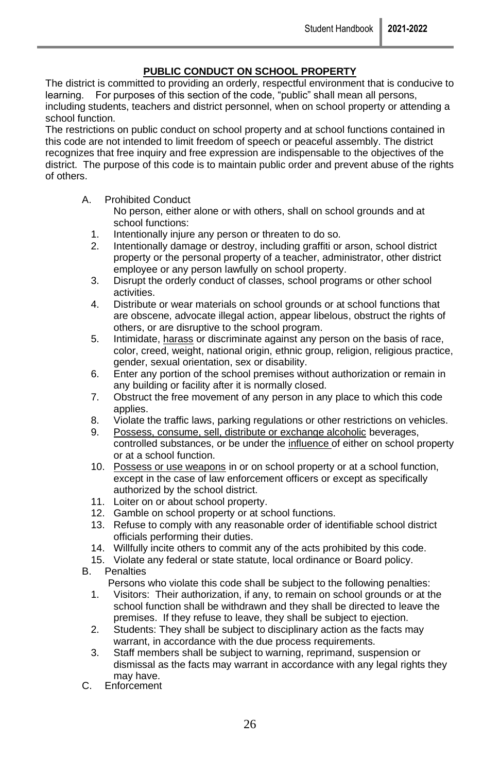### **PUBLIC CONDUCT ON SCHOOL PROPERTY**

The district is committed to providing an orderly, respectful environment that is conducive to learning. For purposes of this section of the code, "public" shall mean all persons, including students, teachers and district personnel, when on school property or attending a school function.

The restrictions on public conduct on school property and at school functions contained in this code are not intended to limit freedom of speech or peaceful assembly. The district recognizes that free inquiry and free expression are indispensable to the objectives of the district. The purpose of this code is to maintain public order and prevent abuse of the rights of others.

#### A. Prohibited Conduct

No person, either alone or with others, shall on school grounds and at school functions:

- 1. Intentionally injure any person or threaten to do so.
- 2. Intentionally damage or destroy, including graffiti or arson, school district property or the personal property of a teacher, administrator, other district employee or any person lawfully on school property.
- 3. Disrupt the orderly conduct of classes, school programs or other school activities.
- 4. Distribute or wear materials on school grounds or at school functions that are obscene, advocate illegal action, appear libelous, obstruct the rights of others, or are disruptive to the school program.
- 5. Intimidate, harass or discriminate against any person on the basis of race, color, creed, weight, national origin, ethnic group, religion, religious practice, gender, sexual orientation, sex or disability.
- 6. Enter any portion of the school premises without authorization or remain in any building or facility after it is normally closed.
- 7. Obstruct the free movement of any person in any place to which this code applies.
- 8. Violate the traffic laws, parking regulations or other restrictions on vehicles.
- 9. Possess, consume, sell, distribute or exchange alcoholic beverages, controlled substances, or be under the influence of either on school property or at a school function.
- 10. Possess or use weapons in or on school property or at a school function, except in the case of law enforcement officers or except as specifically authorized by the school district.
- 11. Loiter on or about school property.
- 12. Gamble on school property or at school functions.
- 13. Refuse to comply with any reasonable order of identifiable school district officials performing their duties.
- 14. Willfully incite others to commit any of the acts prohibited by this code.
- 15. Violate any federal or state statute, local ordinance or Board policy. B. Penalties
- 

Persons who violate this code shall be subject to the following penalties:

- 1. Visitors: Their authorization, if any, to remain on school grounds or at the school function shall be withdrawn and they shall be directed to leave the premises. If they refuse to leave, they shall be subject to ejection.
- 2. Students: They shall be subject to disciplinary action as the facts may warrant, in accordance with the due process requirements.
- 3. Staff members shall be subject to warning, reprimand, suspension or dismissal as the facts may warrant in accordance with any legal rights they may have.
- C. Enforcement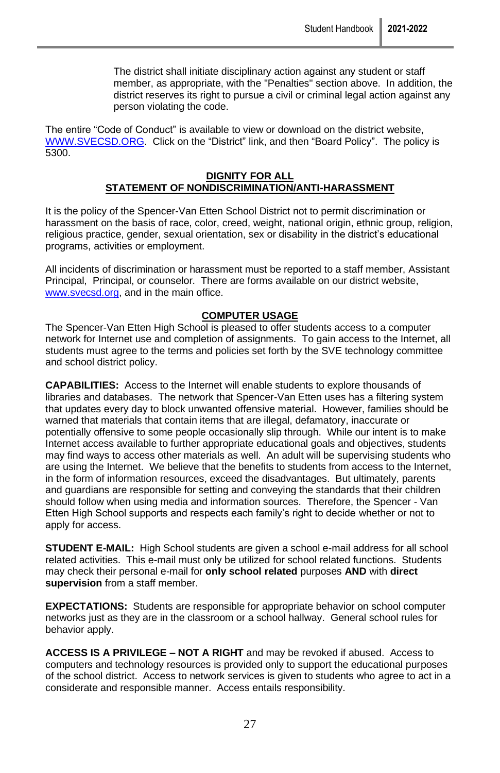The district shall initiate disciplinary action against any student or staff member, as appropriate, with the "Penalties" section above. In addition, the district reserves its right to pursue a civil or criminal legal action against any person violating the code.

The entire "Code of Conduct" is available to view or download on the district website, [WWW.SVECSD.ORG.](http://www.svecsd.org/) Click on the "District" link, and then "Board Policy". The policy is 5300.

#### **DIGNITY FOR ALL STATEMENT OF NONDISCRIMINATION/ANTI-HARASSMENT**

It is the policy of the Spencer-Van Etten School District not to permit discrimination or harassment on the basis of race, color, creed, weight, national origin, ethnic group, religion, religious practice, gender, sexual orientation, sex or disability in the district's educational programs, activities or employment.

All incidents of discrimination or harassment must be reported to a staff member, Assistant Principal, Principal, or counselor. There are forms available on our district website, [www.svecsd.org,](http://www.svecsd.org/) and in the main office.

#### **COMPUTER USAGE**

The Spencer-Van Etten High School is pleased to offer students access to a computer network for Internet use and completion of assignments. To gain access to the Internet, all students must agree to the terms and policies set forth by the SVE technology committee and school district policy.

**CAPABILITIES:** Access to the Internet will enable students to explore thousands of libraries and databases. The network that Spencer-Van Etten uses has a filtering system that updates every day to block unwanted offensive material. However, families should be warned that materials that contain items that are illegal, defamatory, inaccurate or potentially offensive to some people occasionally slip through. While our intent is to make Internet access available to further appropriate educational goals and objectives, students may find ways to access other materials as well. An adult will be supervising students who are using the Internet. We believe that the benefits to students from access to the Internet, in the form of information resources, exceed the disadvantages. But ultimately, parents and guardians are responsible for setting and conveying the standards that their children should follow when using media and information sources. Therefore, the Spencer - Van Etten High School supports and respects each family's right to decide whether or not to apply for access.

**STUDENT E-MAIL:** High School students are given a school e-mail address for all school related activities. This e-mail must only be utilized for school related functions. Students may check their personal e-mail for **only school related** purposes **AND** with **direct supervision** from a staff member.

**EXPECTATIONS:** Students are responsible for appropriate behavior on school computer networks just as they are in the classroom or a school hallway. General school rules for behavior apply.

**ACCESS IS A PRIVILEGE – NOT A RIGHT** and may be revoked if abused. Access to computers and technology resources is provided only to support the educational purposes of the school district. Access to network services is given to students who agree to act in a considerate and responsible manner. Access entails responsibility.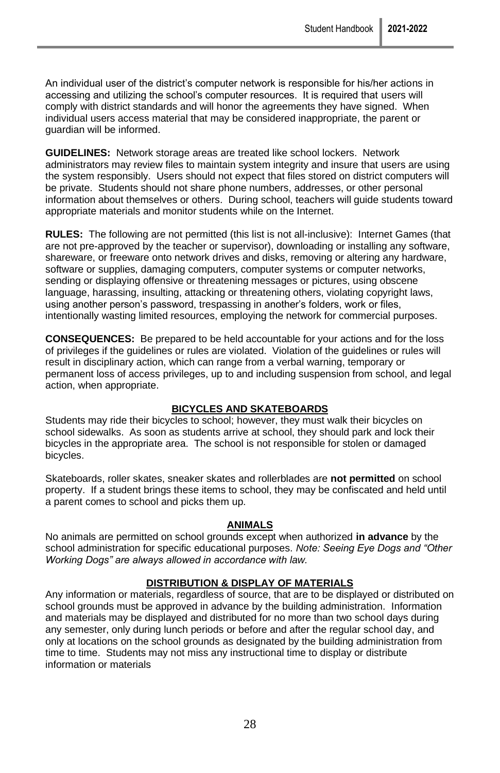An individual user of the district's computer network is responsible for his/her actions in accessing and utilizing the school's computer resources. It is required that users will comply with district standards and will honor the agreements they have signed. When individual users access material that may be considered inappropriate, the parent or guardian will be informed.

**GUIDELINES:** Network storage areas are treated like school lockers. Network administrators may review files to maintain system integrity and insure that users are using the system responsibly. Users should not expect that files stored on district computers will be private. Students should not share phone numbers, addresses, or other personal information about themselves or others. During school, teachers will guide students toward appropriate materials and monitor students while on the Internet.

**RULES:** The following are not permitted (this list is not all-inclusive): Internet Games (that are not pre-approved by the teacher or supervisor), downloading or installing any software, shareware, or freeware onto network drives and disks, removing or altering any hardware, software or supplies, damaging computers, computer systems or computer networks, sending or displaying offensive or threatening messages or pictures, using obscene language, harassing, insulting, attacking or threatening others, violating copyright laws, using another person's password, trespassing in another's folders, work or files, intentionally wasting limited resources, employing the network for commercial purposes.

**CONSEQUENCES:** Be prepared to be held accountable for your actions and for the loss of privileges if the guidelines or rules are violated. Violation of the guidelines or rules will result in disciplinary action, which can range from a verbal warning, temporary or permanent loss of access privileges, up to and including suspension from school, and legal action, when appropriate.

#### **BICYCLES AND SKATEBOARDS**

Students may ride their bicycles to school; however, they must walk their bicycles on school sidewalks. As soon as students arrive at school, they should park and lock their bicycles in the appropriate area. The school is not responsible for stolen or damaged bicycles.

Skateboards, roller skates, sneaker skates and rollerblades are **not permitted** on school property. If a student brings these items to school, they may be confiscated and held until a parent comes to school and picks them up.

#### **ANIMALS**

No animals are permitted on school grounds except when authorized **in advance** by the school administration for specific educational purposes. *Note: Seeing Eye Dogs and "Other Working Dogs" are always allowed in accordance with law.*

#### **DISTRIBUTION & DISPLAY OF MATERIALS**

Any information or materials, regardless of source, that are to be displayed or distributed on school grounds must be approved in advance by the building administration. Information and materials may be displayed and distributed for no more than two school days during any semester, only during lunch periods or before and after the regular school day, and only at locations on the school grounds as designated by the building administration from time to time. Students may not miss any instructional time to display or distribute information or materials